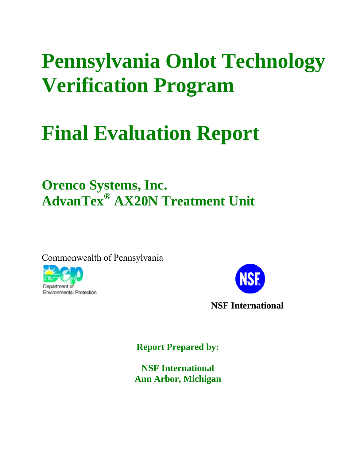# **Pennsylvania Onlot Technology Verification Program**

# **Final Evaluation Report**

# **Orenco Systems, Inc. AdvanTex® AX20N Treatment Unit**

Commonwealth of Pennsylvania





**Report Prepared by:** 

**NSF International Ann Arbor, Michigan**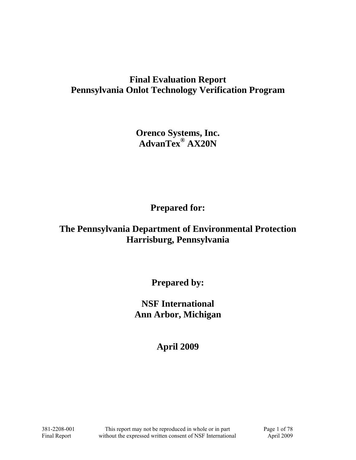# **Final Evaluation Report Pennsylvania Onlot Technology Verification Program**

**Orenco Systems, Inc. AdvanTex® AX20N** 

**Prepared for:** 

# **The Pennsylvania Department of Environmental Protection Harrisburg, Pennsylvania**

**Prepared by:** 

**NSF International Ann Arbor, Michigan** 

**April 2009**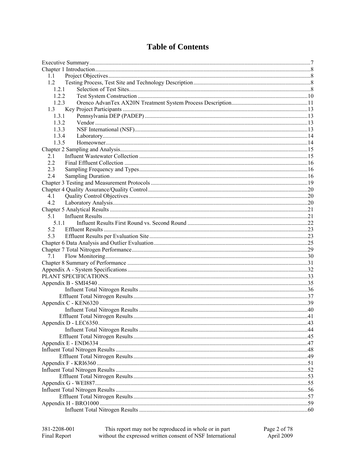|  | <b>Table of Contents</b> |
|--|--------------------------|
|--|--------------------------|

| 1.1   |  |
|-------|--|
| 1.2   |  |
| 1.2.1 |  |
| 122   |  |
| 1.2.3 |  |
| 1.3   |  |
| 1.3.1 |  |
| 1.3.2 |  |
| 1.3.3 |  |
| 1.3.4 |  |
| 1.3.5 |  |
|       |  |
| 2.1   |  |
| 2.2   |  |
| 2.3   |  |
| 2.4   |  |
|       |  |
|       |  |
| 4.1   |  |
| 4.2   |  |
|       |  |
| 5.1   |  |
| 5.1.1 |  |
| 5.2   |  |
| 5.3   |  |
|       |  |
|       |  |
|       |  |
| 7.1   |  |
|       |  |
|       |  |
|       |  |
|       |  |
|       |  |
|       |  |
|       |  |
|       |  |
|       |  |
|       |  |
|       |  |
|       |  |
|       |  |
|       |  |
|       |  |
|       |  |
|       |  |
|       |  |
|       |  |
|       |  |
|       |  |
|       |  |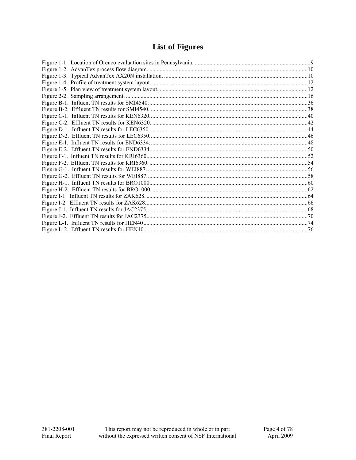# **List of Figures**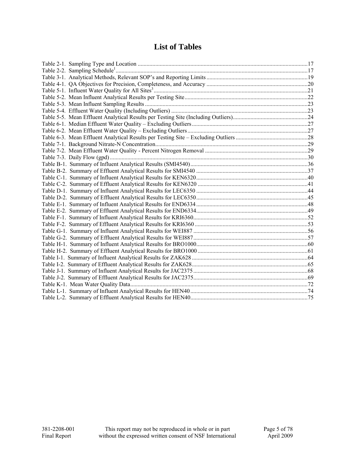## **List of Tables**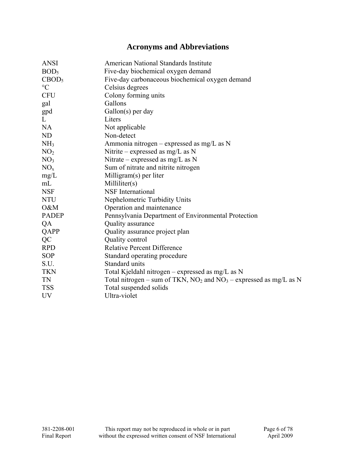# **Acronyms and Abbreviations**

| <b>ANSI</b>       | American National Standards Institute                                   |
|-------------------|-------------------------------------------------------------------------|
| BOD <sub>5</sub>  | Five-day biochemical oxygen demand                                      |
| CBOD <sub>5</sub> | Five-day carbonaceous biochemical oxygen demand                         |
| $\rm ^{\circ}C$   | Celsius degrees                                                         |
| <b>CFU</b>        | Colony forming units                                                    |
| gal               | Gallons                                                                 |
| gpd               | $Gallon(s)$ per day                                                     |
| L                 | Liters                                                                  |
| <b>NA</b>         | Not applicable                                                          |
| ND                | Non-detect                                                              |
| NH <sub>3</sub>   | Ammonia nitrogen – expressed as mg/L as N                               |
| NO <sub>2</sub>   | Nitrite – expressed as $mg/L$ as N                                      |
| NO <sub>3</sub>   | Nitrate – expressed as $mg/L$ as N                                      |
| NO <sub>x</sub>   | Sum of nitrate and nitrite nitrogen                                     |
| mg/L              | Milligram(s) per liter                                                  |
| mL                | Milliliter(s)                                                           |
| <b>NSF</b>        | <b>NSF</b> International                                                |
| <b>NTU</b>        | Nephelometric Turbidity Units                                           |
| O&M               | Operation and maintenance                                               |
| <b>PADEP</b>      | Pennsylvania Department of Environmental Protection                     |
| QA                | Quality assurance                                                       |
| QAPP              | Quality assurance project plan                                          |
| QC                | Quality control                                                         |
| <b>RPD</b>        | <b>Relative Percent Difference</b>                                      |
| <b>SOP</b>        | Standard operating procedure                                            |
| S.U.              | Standard units                                                          |
| <b>TKN</b>        | Total Kjeldahl nitrogen – expressed as mg/L as N                        |
| TN                | Total nitrogen – sum of TKN, $NO_2$ and $NO_3$ – expressed as mg/L as N |
| <b>TSS</b>        | Total suspended solids                                                  |
| <b>UV</b>         | Ultra-violet                                                            |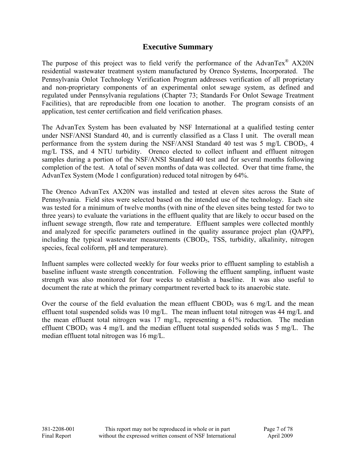#### **Executive Summary**

The purpose of this project was to field verify the performance of the AdvanTex<sup>®</sup> AX20N residential wastewater treatment system manufactured by Orenco Systems, Incorporated. The Pennsylvania Onlot Technology Verification Program addresses verification of all proprietary and non-proprietary components of an experimental onlot sewage system, as defined and regulated under Pennsylvania regulations (Chapter 73; Standards For Onlot Sewage Treatment Facilities), that are reproducible from one location to another. The program consists of an application, test center certification and field verification phases.

The AdvanTex System has been evaluated by NSF International at a qualified testing center under NSF/ANSI Standard 40, and is currently classified as a Class I unit. The overall mean performance from the system during the NSF/ANSI Standard 40 test was 5 mg/L CBOD<sub>5</sub>, 4 mg/L TSS, and 4 NTU turbidity. Orenco elected to collect influent and effluent nitrogen samples during a portion of the NSF/ANSI Standard 40 test and for several months following completion of the test. A total of seven months of data was collected. Over that time frame, the AdvanTex System (Mode 1 configuration) reduced total nitrogen by 64%.

The Orenco AdvanTex AX20N was installed and tested at eleven sites across the State of Pennsylvania. Field sites were selected based on the intended use of the technology. Each site was tested for a minimum of twelve months (with nine of the eleven sites being tested for two to three years) to evaluate the variations in the effluent quality that are likely to occur based on the influent sewage strength, flow rate and temperature. Effluent samples were collected monthly and analyzed for specific parameters outlined in the quality assurance project plan (QAPP), including the typical wastewater measurements (CBOD<sub>5</sub>, TSS, turbidity, alkalinity, nitrogen species, fecal coliform, pH and temperature).

Influent samples were collected weekly for four weeks prior to effluent sampling to establish a baseline influent waste strength concentration. Following the effluent sampling, influent waste strength was also monitored for four weeks to establish a baseline. It was also useful to document the rate at which the primary compartment reverted back to its anaerobic state.

Over the course of the field evaluation the mean effluent  $\text{CBOD}_5$  was 6 mg/L and the mean effluent total suspended solids was 10 mg/L. The mean influent total nitrogen was 44 mg/L and the mean effluent total nitrogen was 17 mg/L, representing a 61% reduction. The median effluent CBOD<sub>5</sub> was 4 mg/L and the median effluent total suspended solids was 5 mg/L. The median effluent total nitrogen was 16 mg/L.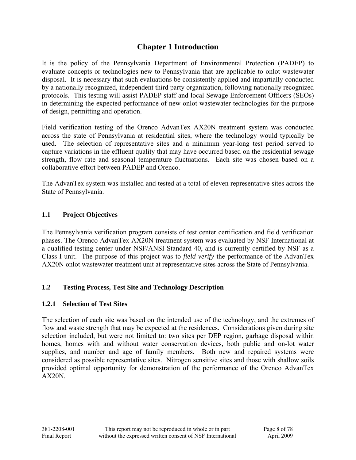### **Chapter 1 Introduction**

It is the policy of the Pennsylvania Department of Environmental Protection (PADEP) to evaluate concepts or technologies new to Pennsylvania that are applicable to onlot wastewater disposal. It is necessary that such evaluations be consistently applied and impartially conducted by a nationally recognized, independent third party organization, following nationally recognized protocols. This testing will assist PADEP staff and local Sewage Enforcement Officers (SEOs) in determining the expected performance of new onlot wastewater technologies for the purpose of design, permitting and operation.

Field verification testing of the Orenco AdvanTex AX20N treatment system was conducted across the state of Pennsylvania at residential sites, where the technology would typically be used. The selection of representative sites and a minimum year-long test period served to capture variations in the effluent quality that may have occurred based on the residential sewage strength, flow rate and seasonal temperature fluctuations. Each site was chosen based on a collaborative effort between PADEP and Orenco.

The AdvanTex system was installed and tested at a total of eleven representative sites across the State of Pennsylvania.

#### **1.1 Project Objectives**

The Pennsylvania verification program consists of test center certification and field verification phases. The Orenco AdvanTex AX20N treatment system was evaluated by NSF International at a qualified testing center under NSF/ANSI Standard 40, and is currently certified by NSF as a Class I unit. The purpose of this project was to *field verify* the performance of the AdvanTex AX20N onlot wastewater treatment unit at representative sites across the State of Pennsylvania.

#### **1.2 Testing Process, Test Site and Technology Description**

#### **1.2.1 Selection of Test Sites**

The selection of each site was based on the intended use of the technology, and the extremes of flow and waste strength that may be expected at the residences. Considerations given during site selection included, but were not limited to: two sites per DEP region, garbage disposal within homes, homes with and without water conservation devices, both public and on-lot water supplies, and number and age of family members. Both new and repaired systems were considered as possible representative sites. Nitrogen sensitive sites and those with shallow soils provided optimal opportunity for demonstration of the performance of the Orenco AdvanTex  $AX20N$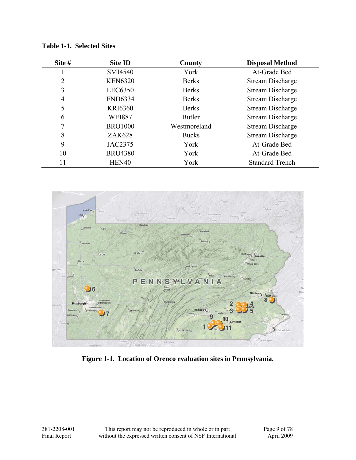| Site # | <b>Site ID</b> | County        | <b>Disposal Method</b>  |
|--------|----------------|---------------|-------------------------|
|        | SMI4540        | York          | At-Grade Bed            |
| 2      | <b>KEN6320</b> | <b>Berks</b>  | Stream Discharge        |
| 3      | LEC6350        | <b>Berks</b>  | <b>Stream Discharge</b> |
| 4      | <b>END6334</b> | <b>Berks</b>  | <b>Stream Discharge</b> |
| 5      | <b>KRI6360</b> | <b>Berks</b>  | <b>Stream Discharge</b> |
| 6      | <b>WEI887</b>  | <b>Butler</b> | <b>Stream Discharge</b> |
|        | <b>BRO1000</b> | Westmoreland  | <b>Stream Discharge</b> |
| 8      | <b>ZAK628</b>  | <b>Bucks</b>  | <b>Stream Discharge</b> |
| 9      | JAC2375        | York          | At-Grade Bed            |
| 10     | <b>BRU4380</b> | York          | At-Grade Bed            |
| 11     | HEN40          | York          | <b>Standard Trench</b>  |

**Table 1-1. Selected Sites** 



**Figure 1-1. Location of Orenco evaluation sites in Pennsylvania.**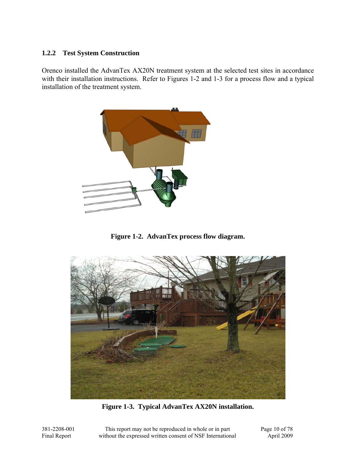#### **1.2.2 Test System Construction**

Orenco installed the AdvanTex AX20N treatment system at the selected test sites in accordance with their installation instructions. Refer to Figures 1-2 and 1-3 for a process flow and a typical installation of the treatment system.



**Figure 1-2. AdvanTex process flow diagram.** 



**Figure 1-3. Typical AdvanTex AX20N installation.** 

381-2208-001 This report may not be reproduced in whole or in part Page 10 of 78 Final Report without the expressed written consent of NSF International April 2009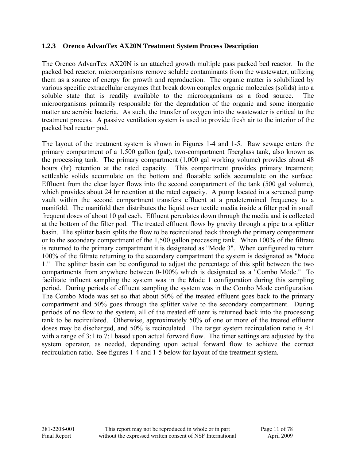#### **1.2.3 Orenco AdvanTex AX20N Treatment System Process Description**

The Orenco AdvanTex AX20N is an attached growth multiple pass packed bed reactor. In the packed bed reactor, microorganisms remove soluble contaminants from the wastewater, utilizing them as a source of energy for growth and reproduction. The organic matter is solubilized by various specific extracellular enzymes that break down complex organic molecules (solids) into a soluble state that is readily available to the microorganisms as a food source. The microorganisms primarily responsible for the degradation of the organic and some inorganic matter are aerobic bacteria. As such, the transfer of oxygen into the wastewater is critical to the treatment process. A passive ventilation system is used to provide fresh air to the interior of the packed bed reactor pod.

The layout of the treatment system is shown in Figures 1-4 and 1-5. Raw sewage enters the primary compartment of a 1,500 gallon (gal), two-compartment fiberglass tank, also known as the processing tank. The primary compartment (1,000 gal working volume) provides about 48 hours (hr) retention at the rated capacity. This compartment provides primary treatment; settleable solids accumulate on the bottom and floatable solids accumulate on the surface. Effluent from the clear layer flows into the second compartment of the tank (500 gal volume), which provides about 24 hr retention at the rated capacity. A pump located in a screened pump vault within the second compartment transfers effluent at a predetermined frequency to a manifold. The manifold then distributes the liquid over textile media inside a filter pod in small frequent doses of about 10 gal each. Effluent percolates down through the media and is collected at the bottom of the filter pod. The treated effluent flows by gravity through a pipe to a splitter basin. The splitter basin splits the flow to be recirculated back through the primary compartment or to the secondary compartment of the 1,500 gallon processing tank. When 100% of the filtrate is returned to the primary compartment it is designated as "Mode 3". When configured to return 100% of the filtrate returning to the secondary compartment the system is designated as "Mode 1." The splitter basin can be configured to adjust the percentage of this split between the two compartments from anywhere between 0-100% which is designated as a "Combo Mode." To facilitate influent sampling the system was in the Mode 1 configuration during this sampling period. During periods of effluent sampling the system was in the Combo Mode configuration. The Combo Mode was set so that about 50% of the treated effluent goes back to the primary compartment and 50% goes through the splitter valve to the secondary compartment. During periods of no flow to the system, all of the treated effluent is returned back into the processing tank to be recirculated. Otherwise, approximately 50% of one or more of the treated effluent doses may be discharged, and 50% is recirculated. The target system recirculation ratio is 4:1 with a range of 3:1 to 7:1 based upon actual forward flow. The timer settings are adjusted by the system operator, as needed, depending upon actual forward flow to achieve the correct recirculation ratio. See figures 1-4 and 1-5 below for layout of the treatment system.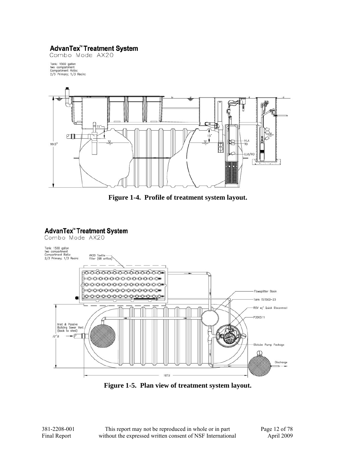#### **AdvanTex<sup>™</sup> Treatment System**

Combo Mode AX20

Tank: 1500 gallon<br>two compartment<br>Compartment Ratio:<br>2/3 Primary; 1/3 Recirc



**Figure 1-4. Profile of treatment system layout.** 

# AdvanTex<sup>"</sup> Treatment System<br>Combo Mode AX20



**Figure 1-5. Plan view of treatment system layout.**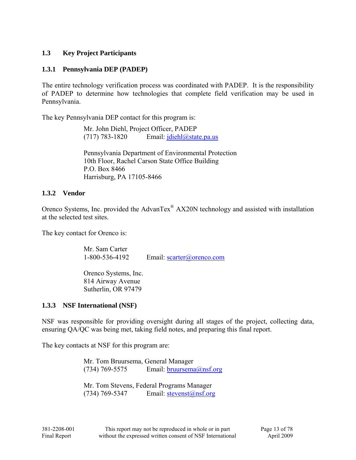#### **1.3 Key Project Participants**

#### **1.3.1 Pennsylvania DEP (PADEP)**

The entire technology verification process was coordinated with PADEP. It is the responsibility of PADEP to determine how technologies that complete field verification may be used in Pennsylvania.

The key Pennsylvania DEP contact for this program is:

 Mr. John Diehl, Project Officer, PADEP (717) 783-1820 Email:  $\text{jdiehl}(\omega)$ state.pa.us

Pennsylvania Department of Environmental Protection 10th Floor, Rachel Carson State Office Building P.O. Box 8466 Harrisburg, PA 17105-8466

#### **1.3.2 Vendor**

Orenco Systems, Inc. provided the AdvanTex® AX20N technology and assisted with installation at the selected test sites.

The key contact for Orenco is:

 Mr. Sam Carter 1-800-536-4192 Email: scarter@orenco.com

Orenco Systems, Inc. 814 Airway Avenue Sutherlin, OR 97479

#### **1.3.3 NSF International (NSF)**

NSF was responsible for providing oversight during all stages of the project, collecting data, ensuring QA/QC was being met, taking field notes, and preparing this final report.

The key contacts at NSF for this program are:

 Mr. Tom Bruursema, General Manager (734) 769-5575 Email:  $bruursema@nsf.org$ 

 Mr. Tom Stevens, Federal Programs Manager (734) 769-5347 Email:  $stevenst@nsf.org$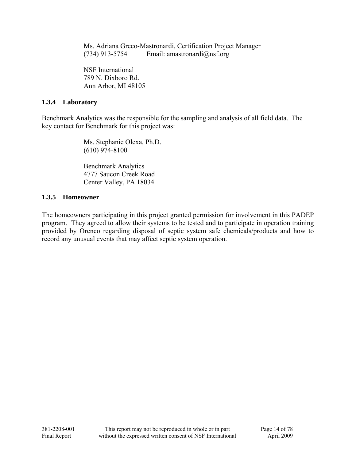Ms. Adriana Greco-Mastronardi, Certification Project Manager (734) 913-5754 Email: amastronardi $(\partial \text{nsf.org})$ 

 NSF International 789 N. Dixboro Rd. Ann Arbor, MI 48105

#### **1.3.4 Laboratory**

Benchmark Analytics was the responsible for the sampling and analysis of all field data. The key contact for Benchmark for this project was:

> Ms. Stephanie Olexa, Ph.D. (610) 974-8100

 Benchmark Analytics 4777 Saucon Creek Road Center Valley, PA 18034

#### **1.3.5 Homeowner**

The homeowners participating in this project granted permission for involvement in this PADEP program. They agreed to allow their systems to be tested and to participate in operation training provided by Orenco regarding disposal of septic system safe chemicals/products and how to record any unusual events that may affect septic system operation.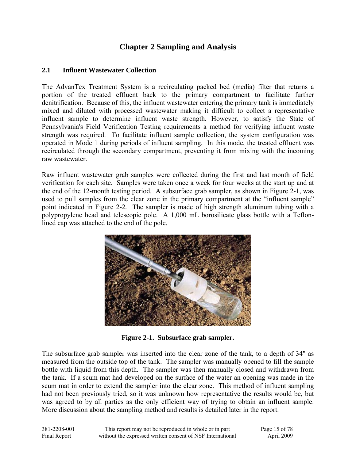### **Chapter 2 Sampling and Analysis**

#### **2.1 Influent Wastewater Collection**

The AdvanTex Treatment System is a recirculating packed bed (media) filter that returns a portion of the treated effluent back to the primary compartment to facilitate further denitrification. Because of this, the influent wastewater entering the primary tank is immediately mixed and diluted with processed wastewater making it difficult to collect a representative influent sample to determine influent waste strength. However, to satisfy the State of Pennsylvania's Field Verification Testing requirements a method for verifying influent waste strength was required. To facilitate influent sample collection, the system configuration was operated in Mode 1 during periods of influent sampling. In this mode, the treated effluent was recirculated through the secondary compartment, preventing it from mixing with the incoming raw wastewater.

Raw influent wastewater grab samples were collected during the first and last month of field verification for each site. Samples were taken once a week for four weeks at the start up and at the end of the 12-month testing period. A subsurface grab sampler, as shown in Figure 2-1, was used to pull samples from the clear zone in the primary compartment at the "influent sample" point indicated in Figure 2-2*.* The sampler is made of high strength aluminum tubing with a polypropylene head and telescopic pole. A 1,000 mL borosilicate glass bottle with a Teflonlined cap was attached to the end of the pole.



**Figure 2-1. Subsurface grab sampler.** 

The subsurface grab sampler was inserted into the clear zone of the tank, to a depth of 34" as measured from the outside top of the tank. The sampler was manually opened to fill the sample bottle with liquid from this depth. The sampler was then manually closed and withdrawn from the tank. If a scum mat had developed on the surface of the water an opening was made in the scum mat in order to extend the sampler into the clear zone. This method of influent sampling had not been previously tried, so it was unknown how representative the results would be, but was agreed to by all parties as the only efficient way of trying to obtain an influent sample. More discussion about the sampling method and results is detailed later in the report.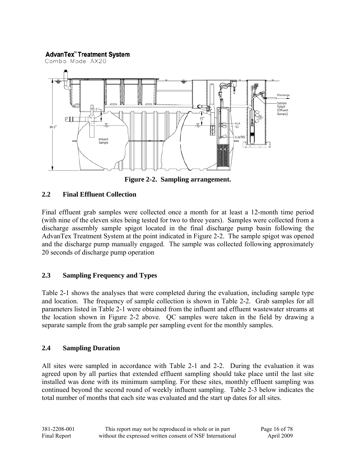#### **AdvanTex<sup>™</sup> Treatment System**



**Figure 2-2. Sampling arrangement.** 

#### **2.2 Final Effluent Collection**

Final effluent grab samples were collected once a month for at least a 12-month time period (with nine of the eleven sites being tested for two to three years). Samples were collected from a discharge assembly sample spigot located in the final discharge pump basin following the AdvanTex Treatment System at the point indicated in Figure 2-2. The sample spigot was opened and the discharge pump manually engaged. The sample was collected following approximately 20 seconds of discharge pump operation

#### **2.3 Sampling Frequency and Types**

Table 2-1 shows the analyses that were completed during the evaluation, including sample type and location. The frequency of sample collection is shown in Table 2-2. Grab samples for all parameters listed in Table 2-1 were obtained from the influent and effluent wastewater streams at the location shown in Figure 2-2 above. QC samples were taken in the field by drawing a separate sample from the grab sample per sampling event for the monthly samples.

#### **2.4 Sampling Duration**

All sites were sampled in accordance with Table 2-1 and 2-2. During the evaluation it was agreed upon by all parties that extended effluent sampling should take place until the last site installed was done with its minimum sampling. For these sites, monthly effluent sampling was continued beyond the second round of weekly influent sampling. Table 2-3 below indicates the total number of months that each site was evaluated and the start up dates for all sites.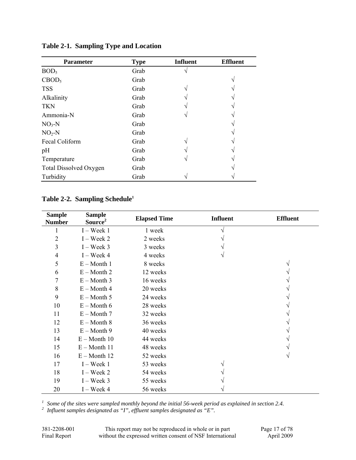| <b>Parameter</b>              | <b>Type</b> | <b>Influent</b> | <b>Effluent</b> |
|-------------------------------|-------------|-----------------|-----------------|
| BOD <sub>5</sub>              | Grab        |                 |                 |
| CBOD <sub>5</sub>             | Grab        |                 |                 |
| <b>TSS</b>                    | Grab        |                 |                 |
| Alkalinity                    | Grab        |                 |                 |
| <b>TKN</b>                    | Grab        |                 |                 |
| Ammonia-N                     | Grab        |                 |                 |
| $NO3-N$                       | Grab        |                 |                 |
| $NO2-N$                       | Grab        |                 |                 |
| Fecal Coliform                | Grab        |                 |                 |
| pH                            | Grab        |                 |                 |
| Temperature                   | Grab        |                 |                 |
| <b>Total Dissolved Oxygen</b> | Grab        |                 |                 |
| Turbidity                     | Grab        |                 |                 |

**Table 2-1. Sampling Type and Location** 

#### **Table 2-2. Sampling Schedule1**

| <b>Sample</b><br><b>Number</b> | <b>Sample</b><br>Source <sup>2</sup> | <b>Elapsed Time</b> | <b>Influent</b> | <b>Effluent</b> |
|--------------------------------|--------------------------------------|---------------------|-----------------|-----------------|
|                                | $I$ – Week 1                         | 1 week              |                 |                 |
| $\overline{2}$                 | $I$ – Week 2                         | 2 weeks             |                 |                 |
| 3                              | $I$ – Week 3                         | 3 weeks             |                 |                 |
| $\overline{4}$                 | $I$ – Week 4                         | 4 weeks             |                 |                 |
| 5                              | $E -$ Month 1                        | 8 weeks             |                 |                 |
| 6                              | $E -$ Month 2                        | 12 weeks            |                 |                 |
| 7                              | $E -$ Month 3                        | 16 weeks            |                 |                 |
| 8                              | $E -$ Month 4                        | 20 weeks            |                 |                 |
| 9                              | $E -$ Month 5                        | 24 weeks            |                 |                 |
| 10                             | $E -$ Month 6                        | 28 weeks            |                 |                 |
| 11                             | $E -$ Month 7                        | 32 weeks            |                 |                 |
| 12                             | $E -$ Month 8                        | 36 weeks            |                 |                 |
| 13                             | $E -$ Month 9                        | 40 weeks            |                 |                 |
| 14                             | $E -$ Month 10                       | 44 weeks            |                 |                 |
| 15                             | $E - M$ onth 11                      | 48 weeks            |                 |                 |
| 16                             | $E -$ Month 12                       | 52 weeks            |                 |                 |
| 17                             | $I$ – Week 1                         | 53 weeks            |                 |                 |
| 18                             | $I$ – Week 2                         | 54 weeks            |                 |                 |
| 19                             | $I$ – Week 3                         | 55 weeks            |                 |                 |
| 20                             | $I$ – Week 4                         | 56 weeks            |                 |                 |

<sup>1</sup> Some of the sites were sampled monthly beyond the initial 56-week period as explained in section 2.4.<br><sup>2</sup> Influent samples designated as "I", effluent samples designated as "E".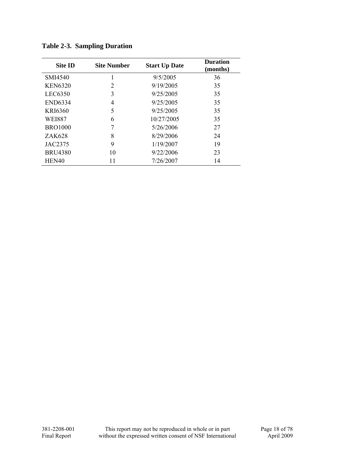| <b>Site ID</b> | <b>Site Number</b> | <b>Start Up Date</b> | <b>Duration</b><br>(months) |
|----------------|--------------------|----------------------|-----------------------------|
| SMI4540        |                    | 9/5/2005             | 36                          |
| <b>KEN6320</b> | 2                  | 9/19/2005            | 35                          |
| LEC6350        | 3                  | 9/25/2005            | 35                          |
| <b>END6334</b> | 4                  | 9/25/2005            | 35                          |
| KRI6360        | 5                  | 9/25/2005            | 35                          |
| <b>WEI887</b>  | 6                  | 10/27/2005           | 35                          |
| <b>BRO1000</b> | 7                  | 5/26/2006            | 27                          |
| ZAK628         | 8                  | 8/29/2006            | 24                          |
| JAC2375        | 9                  | 1/19/2007            | 19                          |
| <b>BRU4380</b> | 10                 | 9/22/2006            | 23                          |
| HEN40          | 11                 | 7/26/2007            | 14                          |

**Table 2-3. Sampling Duration**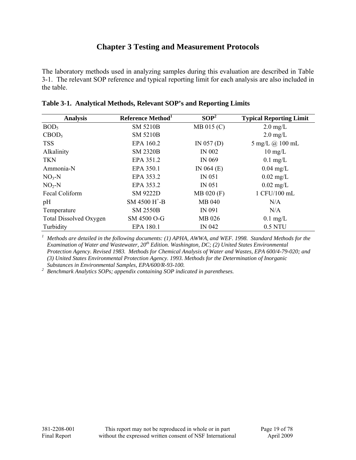#### **Chapter 3 Testing and Measurement Protocols**

The laboratory methods used in analyzing samples during this evaluation are described in Table 3-1. The relevant SOP reference and typical reporting limit for each analysis are also included in the table.

| <b>Analysis</b>               | Reference Method <sup>1</sup>            | SOP <sup>2</sup> | <b>Typical Reporting Limit</b> |
|-------------------------------|------------------------------------------|------------------|--------------------------------|
| BOD <sub>5</sub>              | <b>SM 5210B</b>                          | MB 015 (C)       | $2.0 \text{ mg/L}$             |
| CBOD <sub>5</sub>             | <b>SM 5210B</b>                          |                  | $2.0 \text{ mg/L}$             |
| <b>TSS</b>                    | EPA 160.2                                | IN $057(D)$      | 5 mg/L @ 100 mL                |
| Alkalinity                    | <b>SM 2320B</b>                          | <b>IN 002</b>    | $10 \text{ mg/L}$              |
| <b>TKN</b>                    | EPA 351.2                                | IN 069           | $0.1$ mg/L                     |
| Ammonia-N                     | EPA 350.1                                | IN $064$ (E)     | $0.04$ mg/L                    |
| $NO3-N$                       | EPA 353.2                                | <b>IN 051</b>    | $0.02$ mg/L                    |
| $NO2-N$                       | EPA 353.2                                | <b>IN 051</b>    | $0.02$ mg/L                    |
| Fecal Coliform                | <b>SM 9222D</b>                          | MB 020 (F)       | 1 CFU/100 mL                   |
| pH                            | $SM$ 4500 H <sup><math>+</math></sup> -B | MB 040           | N/A                            |
| Temperature                   | <b>SM 2550B</b>                          | IN 091           | N/A                            |
| <b>Total Dissolved Oxygen</b> | SM 4500 O-G                              | MB 026           | $0.1$ mg/L                     |
| Turbidity                     | EPA 180.1                                | IN 042           | 0.5 NTU                        |

|  | Table 3-1. Analytical Methods, Relevant SOP's and Reporting Limits |  |  |  |  |  |
|--|--------------------------------------------------------------------|--|--|--|--|--|
|--|--------------------------------------------------------------------|--|--|--|--|--|

<sup>1</sup> Methods are detailed in the following documents: (1) APHA, AWWA, and WEF. 1998. Standard Methods for the *Examination of Water and Wastewater, 20th Edition. Washington, DC; (2) United States Environmental Protection Agency. Revised 1983. Methods for Chemical Analysis of Water and Wastes, EPA 600/4-79-020; and (3) United States Environmental Protection Agency. 1993. Methods for the Determination of Inorganic Substances in Environmental Samples, EPA/600/R-93-100. 2*

<sup>2</sup> Benchmark Analytics SOPs; appendix containing SOP indicated in parentheses.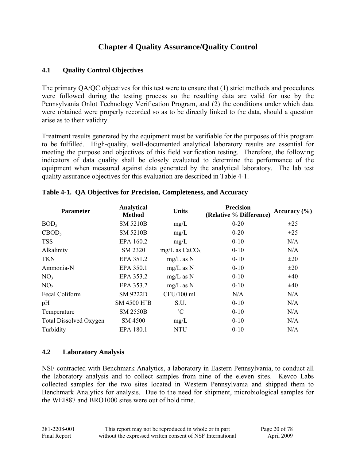### **Chapter 4 Quality Assurance/Quality Control**

#### **4.1 Quality Control Objectives**

The primary QA/QC objectives for this test were to ensure that (1) strict methods and procedures were followed during the testing process so the resulting data are valid for use by the Pennsylvania Onlot Technology Verification Program, and (2) the conditions under which data were obtained were properly recorded so as to be directly linked to the data, should a question arise as to their validity.

Treatment results generated by the equipment must be verifiable for the purposes of this program to be fulfilled. High-quality, well-documented analytical laboratory results are essential for meeting the purpose and objectives of this field verification testing. Therefore, the following indicators of data quality shall be closely evaluated to determine the performance of the equipment when measured against data generated by the analytical laboratory. The lab test quality assurance objectives for this evaluation are described in Table 4-1.

| <b>Parameter</b>              | <b>Analytical</b><br><b>Method</b> | <b>Units</b>      | <b>Precision</b><br>(Relative % Difference) | Accuracy $(\% )$ |
|-------------------------------|------------------------------------|-------------------|---------------------------------------------|------------------|
| BOD <sub>5</sub>              | <b>SM 5210B</b>                    | mg/L              | $0 - 20$                                    | $\pm 25$         |
| CBOD <sub>5</sub>             | <b>SM 5210B</b>                    | mg/L              | $0 - 20$                                    | $\pm 25$         |
| <b>TSS</b>                    | EPA 160.2                          | mg/L              | $0 - 10$                                    | N/A              |
| Alkalinity                    | SM 2320                            | $mg/L$ as $CaCO3$ | $0 - 10$                                    | N/A              |
| <b>TKN</b>                    | EPA 351.2                          | $mg/L$ as N       | $0 - 10$                                    | $\pm 20$         |
| Ammonia-N                     | EPA 350.1                          | $mg/L$ as N       | $0 - 10$                                    | $\pm 20$         |
| NO <sub>3</sub>               | EPA 353.2                          | $mg/L$ as N       | $0 - 10$                                    | ±40              |
| NO <sub>2</sub>               | EPA 353.2                          | $mg/L$ as N       | $0 - 10$                                    | ±40              |
| Fecal Coliform                | <b>SM 9222D</b>                    | CFU/100 mL        | N/A                                         | N/A              |
| pH                            | SM 4500 H <sup>+</sup> B           | S.U.              | $0 - 10$                                    | N/A              |
| Temperature                   | <b>SM 2550B</b>                    | $^{\circ}C$       | $0 - 10$                                    | N/A              |
| <b>Total Dissolved Oxygen</b> | SM 4500                            | mg/L              | $0 - 10$                                    | N/A              |
| Turbidity                     | EPA 180.1                          | <b>NTU</b>        | $0 - 10$                                    | N/A              |

|  |  |  |  |  |  | Table 4-1. QA Objectives for Precision, Completeness, and Accuracy |
|--|--|--|--|--|--|--------------------------------------------------------------------|
|--|--|--|--|--|--|--------------------------------------------------------------------|

#### **4.2 Laboratory Analysis**

NSF contracted with Benchmark Analytics, a laboratory in Eastern Pennsylvania, to conduct all the laboratory analysis and to collect samples from nine of the eleven sites. Kevco Labs collected samples for the two sites located in Western Pennsylvania and shipped them to Benchmark Analytics for analysis. Due to the need for shipment, microbiological samples for the WEI887 and BRO1000 sites were out of hold time.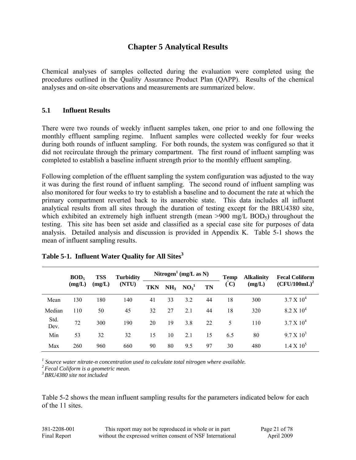#### **Chapter 5 Analytical Results**

Chemical analyses of samples collected during the evaluation were completed using the procedures outlined in the Quality Assurance Product Plan (QAPP). Results of the chemical analyses and on-site observations and measurements are summarized below.

#### **5.1 Influent Results**

There were two rounds of weekly influent samples taken, one prior to and one following the monthly effluent sampling regime. Influent samples were collected weekly for four weeks during both rounds of influent sampling. For both rounds, the system was configured so that it did not recirculate through the primary compartment. The first round of influent sampling was completed to establish a baseline influent strength prior to the monthly effluent sampling.

Following completion of the effluent sampling the system configuration was adjusted to the way it was during the first round of influent sampling. The second round of influent sampling was also monitored for four weeks to try to establish a baseline and to document the rate at which the primary compartment reverted back to its anaerobic state. This data includes all influent analytical results from all sites through the duration of testing except for the BRU4380 site, which exhibited an extremely high influent strength (mean  $>900$  mg/L BOD<sub>5</sub>) throughout the testing. This site has been set aside and classified as a special case site for purposes of data analysis. Detailed analysis and discussion is provided in Appendix K. Table 5-1 shows the mean of influent sampling results.

|              | BOD <sub>5</sub> | <b>TSS</b> | <b>Turbidity</b> |     |                 | Nitrogen <sup>1</sup> (mg/L as N) |           | Temp      | <b>Alkalinity</b> | <b>Fecal Coliform</b> |
|--------------|------------------|------------|------------------|-----|-----------------|-----------------------------------|-----------|-----------|-------------------|-----------------------|
|              | (mg/L)           | (mg/L)     | (NTU)            | TKN | NH <sub>3</sub> | $NO_3^1$                          | <b>TN</b> | $\rm (C)$ | (mg/L)            | $(CFU/100mL)^2$       |
| Mean         | 130              | 180        | 140              | 41  | 33              | 3.2                               | 44        | 18        | 300               | $3.7 \times 10^{4}$   |
| Median       | 110              | 50         | 45               | 32  | 27              | 2.1                               | 44        | 18        | 320               | $8.2 \times 10^{4}$   |
| Std.<br>Dev. | 72               | 300        | 190              | 20  | 19              | 3.8                               | 22        | 5         | 110               | $3.7 \times 10^{4}$   |
| Min          | 53               | 32         | 32               | 15  | 10              | 2.1                               | 15        | 6.5       | 80                | $9.7 \times 10^3$     |
| Max          | 260              | 960        | 660              | 90  | 80              | 9.5                               | 97        | 30        | 480               | $1.4 \times 10^{5}$   |

| Table 5-1. Influent Water Quality for All Sites <sup>3</sup> |  |  |  |
|--------------------------------------------------------------|--|--|--|
|                                                              |  |  |  |

*1 Source water nitrate-n concentration used to calculate total nitrogen where available.*

*2 Fecal Coliform is a geometric mean.* 

*3 BRU4380 site not included* 

Table 5-2 shows the mean influent sampling results for the parameters indicated below for each of the 11 sites.

| 381-2208-001 | This report may not be reproduced in whole or in part      | Page 21 of 78 |
|--------------|------------------------------------------------------------|---------------|
| Final Report | without the expressed written consent of NSF International | April 2009    |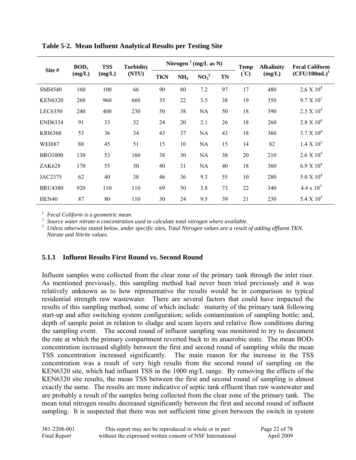| Site #         | BOD <sub>5</sub> | <b>TSS</b> | <b>Turbidity</b> | Nitrogen <sup>2</sup> (mg/L as N) |                 |          |    | <b>Temp</b> | <b>Alkalinity</b> | <b>Fecal Coliform</b> |
|----------------|------------------|------------|------------------|-----------------------------------|-----------------|----------|----|-------------|-------------------|-----------------------|
| (mg/L)         |                  | (mg/L)     | (NTU)            | <b>TKN</b>                        | NH <sub>3</sub> | $NO_3^2$ | TN | $\rm (C)$   | (mg/L)            | $(CFU/100mL)^1$       |
| SMI4540        | 160              | 100        | 66               | 90                                | 80              | 7.2      | 97 | 17          | 480               | $2.6 \times 10^4$     |
| <b>KEN6320</b> | 260              | 960        | 660              | 35                                | 22              | 3.5      | 38 | 19          | 350               | $9.7 \times 10^3$     |
| LEC6350        | 240              | 400        | 230              | 50                                | 38              | NA       | 50 | 18          | 390               | $2.5 \times 10^4$     |
| <b>END6334</b> | 91               | 33         | 32               | 24                                | 20              | 2.1      | 26 | 18          | 260               | $2.8 \times 10^{4}$   |
| <b>KRI6360</b> | 53               | 36         | 34               | 43                                | 37              | NA       | 43 | 18          | 360               | $3.7 \times 10^{4}$   |
| <b>WEI887</b>  | 88               | 45         | 51               | 15                                | 10              | NA       | 15 | 14          | 82                | $1.4 \times 10^5$     |
| <b>BRO1000</b> | 130              | 53         | 160              | 38                                | 30              | NA       | 38 | 20          | 210               | $2.6 \times 10^4$     |
| ZAK628         | 170              | 55         | 50               | 40                                | 31              | NA       | 40 | 18          | 360               | $6.9 \times 10^{4}$   |
| JAC2375        | 62               | 40         | 38               | 46                                | 36              | 9.3      | 55 | 10          | 280               | $5.0 \times 10^4$     |
| <b>BRU4380</b> | 920              | 110        | 110              | 69                                | 50              | 3.8      | 73 | 22          | 340               | $4.4 \times 10^5$     |
| HEN40          | 87               | 80         | 110              | 30                                | 24              | 9.5      | 39 | 21          | 230               | 5.4 X $10^4$          |

**Table 5-2. Mean Influent Analytical Results per Testing Site** 

<sup>1</sup> Fecal Coliform is a geometric mean<br><sup>2</sup> Source water nitrate-n concentration used to calculate total nitrogen where available.<br><sup>3</sup> Unless otherwise stated below, under specific sites, Total Nitrogen values are a result *Nitrate and Nitrite values.*

#### **5.1.1 Influent Results First Round vs. Second Round**

Influent samples were collected from the clear zone of the primary tank through the inlet riser. As mentioned previously, this sampling method had never been tried previously and it was relatively unknown as to how representative the results would be in comparison to typical residential strength raw wastewater. There are several factors that could have impacted the results of this sampling method, some of which include: maturity of the primary tank following start-up and after switching system configuration; solids contamination of sampling bottle; and, depth of sample point in relation to sludge and scum layers and relative flow conditions during the sampling event. The second round of influent sampling was monitored to try to document the rate at which the primary compartment reverted back to its anaerobic state. The mean  $BOD<sub>5</sub>$ concentration increased slightly between the first and second round of sampling while the mean TSS concentration increased significantly. The main reason for the increase in the TSS concentration was a result of very high results from the second round of sampling on the KEN6320 site, which had influent TSS in the 1000 mg/L range. By removing the effects of the KEN6320 site results, the mean TSS between the first and second round of sampling is almost exactly the same. The results are more indicative of septic tank effluent than raw wastewater and are probably a result of the samples being collected from the clear zone of the primary tank. The mean total nitrogen results decreased significantly between the first and second round of influent sampling. It is suspected that there was not sufficient time given between the switch in system

| 381-2208-001 | This report may not be reproduced in whole or in part      | Page 22 of 78 |
|--------------|------------------------------------------------------------|---------------|
| Final Report | without the expressed written consent of NSF International | April 2009    |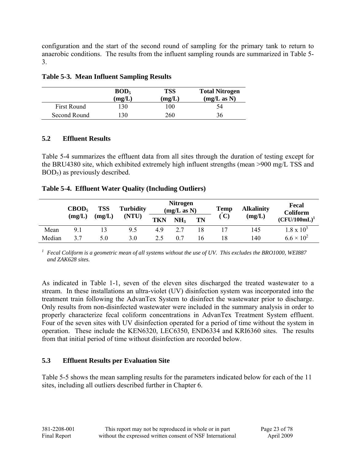configuration and the start of the second round of sampling for the primary tank to return to anaerobic conditions. The results from the influent sampling rounds are summarized in Table 5- 3.

|              | BOD <sub>5</sub><br>(mg/L) | TSS<br>(mg/L) | <b>Total Nitrogen</b><br>(mg/L as N) |
|--------------|----------------------------|---------------|--------------------------------------|
| First Round  | 30                         | 100           | 54                                   |
| Second Round | 30                         | 260           | 36                                   |

#### **Table 5-3. Mean Influent Sampling Results**

#### **5.2 Effluent Results**

Table 5-4 summarizes the effluent data from all sites through the duration of testing except for the BRU4380 site, which exhibited extremely high influent strengths (mean >900 mg/L TSS and BOD5) as previously described.

#### **Table 5-4. Effluent Water Quality (Including Outliers)**

|        | $\text{CBOD}_5$ | <b>TSS</b> | <b>Turbidity</b> |            |                       | <b>Nitrogen</b><br>(mg/L as N) |    | <b>Alkalinity</b> | Fecal<br><b>Coliform</b> |  |
|--------|-----------------|------------|------------------|------------|-----------------------|--------------------------------|----|-------------------|--------------------------|--|
|        | (mg/L)          | (mg/L)     | (NTU)            | <b>TKN</b> | TN<br>NH <sub>3</sub> |                                | C) | (mg/L)            | $(CFU/100mL)^1$          |  |
| Mean   | 9.1             | 13         | 9.5              | 4.9        | 2.7                   | 18                             |    | 145               | $1.8 \times 10^{3}$      |  |
| Median | 3.7             | 5.0        | 3.0              | 2.5        | 0.7                   | 16                             |    | 140               | $6.6 \times 10^{2}$      |  |

*1 Fecal Coliform is a geometric mean of all systems without the use of UV. This excludes the BRO1000, WEI887 and ZAK628 sites.* 

As indicated in Table 1-1, seven of the eleven sites discharged the treated wastewater to a stream. In these installations an ultra-violet (UV) disinfection system was incorporated into the treatment train following the AdvanTex System to disinfect the wastewater prior to discharge. Only results from non-disinfected wastewater were included in the summary analysis in order to properly characterize fecal coliform concentrations in AdvanTex Treatment System effluent. Four of the seven sites with UV disinfection operated for a period of time without the system in operation. These include the KEN6320, LEC6350, END6334 and KRI6360 sites. The results from that initial period of time without disinfection are recorded below.

#### **5.3 Effluent Results per Evaluation Site**

Table 5-5 shows the mean sampling results for the parameters indicated below for each of the 11 sites, including all outliers described further in Chapter 6.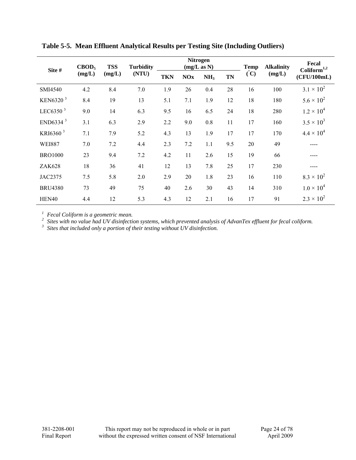| Site #               | CBOD <sub>5</sub> | <b>TSS</b> | <b>Turbidity</b> |            |            | <b>Nitrogen</b><br>(mg/L as N) |           | <b>Temp</b> | <b>Alkalinity</b> | Fecal<br>$Coliform^{1,2}$ |
|----------------------|-------------------|------------|------------------|------------|------------|--------------------------------|-----------|-------------|-------------------|---------------------------|
|                      | (mg/L)            | (mg/L)     | (NTU)            | <b>TKN</b> | <b>NOx</b> | NH <sub>3</sub>                | <b>TN</b> | $\rm (°C)$  | (mg/L)            | (CFU/100mL)               |
| SMI4540              | 4.2               | 8.4        | 7.0              | 1.9        | 26         | 0.4                            | 28        | 16          | 100               | $3.1 \times 10^{2}$       |
| KEN6320 <sup>3</sup> | 8.4               | 19         | 13               | 5.1        | 7.1        | 1.9                            | 12        | 18          | 180               | $5.6 \times 10^{2}$       |
| LEC6350 $3$          | 9.0               | 14         | 6.3              | 9.5        | 16         | 6.5                            | 24        | 18          | 280               | $1.2 \times 10^{4}$       |
| END6334 $3$          | 3.1               | 6.3        | 2.9              | 2.2        | 9.0        | 0.8                            | 11        | 17          | 160               | $3.5 \times 10^{3}$       |
| KRI6360 <sup>3</sup> | 7.1               | 7.9        | 5.2              | 4.3        | 13         | 1.9                            | 17        | 17          | 170               | $4.4 \times 10^{4}$       |
| <b>WEI887</b>        | 7.0               | 7.2        | 4.4              | 2.3        | 7.2        | 1.1                            | 9.5       | 20          | 49                |                           |
| <b>BRO1000</b>       | 23                | 9.4        | 7.2              | 4.2        | 11         | 2.6                            | 15        | 19          | 66                |                           |
| ZAK628               | 18                | 36         | 41               | 12         | 13         | 7.8                            | 25        | 17          | 230               |                           |
| <b>JAC2375</b>       | 7.5               | 5.8        | 2.0              | 2.9        | 20         | 1.8                            | 23        | 16          | 110               | $8.3 \times 10^{2}$       |
| <b>BRU4380</b>       | 73                | 49         | 75               | 40         | 2.6        | 30                             | 43        | 14          | 310               | $1.0 \times 10^{4}$       |
| HEN40                | 4.4               | 12         | 5.3              | 4.3        | 12         | 2.1                            | 16        | 17          | 91                | $2.3 \times 10^{2}$       |

**Table 5-5. Mean Effluent Analytical Results per Testing Site (Including Outliers)**

<sup>1</sup> Fecal Coliform is a geometric mean.<br><sup>2</sup> Sites with no value had UV disinfection systems, which prevented analysis of AdvanTex effluent for fecal coliform.<br><sup>3</sup> Sites that included only a portion of their testing withou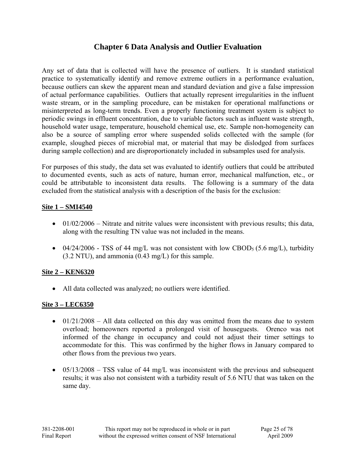#### **Chapter 6 Data Analysis and Outlier Evaluation**

Any set of data that is collected will have the presence of outliers. It is standard statistical practice to systematically identify and remove extreme outliers in a performance evaluation, because outliers can skew the apparent mean and standard deviation and give a false impression of actual performance capabilities. Outliers that actually represent irregularities in the influent waste stream, or in the sampling procedure, can be mistaken for operational malfunctions or misinterpreted as long-term trends. Even a properly functioning treatment system is subject to periodic swings in effluent concentration, due to variable factors such as influent waste strength, household water usage, temperature, household chemical use, etc. Sample non-homogeneity can also be a source of sampling error where suspended solids collected with the sample (for example, sloughed pieces of microbial mat, or material that may be dislodged from surfaces during sample collection) and are disproportionately included in subsamples used for analysis.

For purposes of this study, the data set was evaluated to identify outliers that could be attributed to documented events, such as acts of nature, human error, mechanical malfunction, etc., or could be attributable to inconsistent data results. The following is a summary of the data excluded from the statistical analysis with a description of the basis for the exclusion:

#### **Site 1 – SMI4540**

- $01/02/2006$  Nitrate and nitrite values were inconsistent with previous results; this data, along with the resulting TN value was not included in the means.
- 04/24/2006 TSS of 44 mg/L was not consistent with low CBOD<sub>5</sub> (5.6 mg/L), turbidity (3.2 NTU), and ammonia (0.43 mg/L) for this sample.

#### **Site 2 – KEN6320**

• All data collected was analyzed; no outliers were identified.

#### **Site 3 – LEC6350**

- $01/21/2008$  All data collected on this day was omitted from the means due to system overload; homeowners reported a prolonged visit of houseguests. Orenco was not informed of the change in occupancy and could not adjust their timer settings to accommodate for this. This was confirmed by the higher flows in January compared to other flows from the previous two years.
- $05/13/2008$  TSS value of 44 mg/L was inconsistent with the previous and subsequent results; it was also not consistent with a turbidity result of 5.6 NTU that was taken on the same day.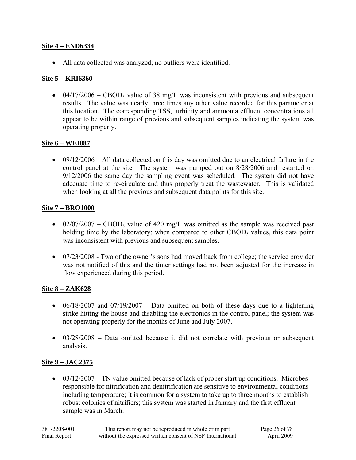#### **Site 4 – END6334**

• All data collected was analyzed; no outliers were identified.

#### **Site 5 – KRI6360**

• 04/17/2006 – CBOD<sub>5</sub> value of 38 mg/L was inconsistent with previous and subsequent results. The value was nearly three times any other value recorded for this parameter at this location. The corresponding TSS, turbidity and ammonia effluent concentrations all appear to be within range of previous and subsequent samples indicating the system was operating properly.

#### **Site 6 – WEI887**

• 09/12/2006 – All data collected on this day was omitted due to an electrical failure in the control panel at the site. The system was pumped out on 8/28/2006 and restarted on 9/12/2006 the same day the sampling event was scheduled. The system did not have adequate time to re-circulate and thus properly treat the wastewater. This is validated when looking at all the previous and subsequent data points for this site.

#### **Site 7 – BRO1000**

- 02/07/2007 CBOD<sub>5</sub> value of 420 mg/L was omitted as the sample was received past holding time by the laboratory; when compared to other  $\text{CBOD}_5$  values, this data point was inconsistent with previous and subsequent samples.
- 07/23/2008 Two of the owner's sons had moved back from college; the service provider was not notified of this and the timer settings had not been adjusted for the increase in flow experienced during this period.

#### **Site 8 – ZAK628**

- 06/18/2007 and 07/19/2007 Data omitted on both of these days due to a lightening strike hitting the house and disabling the electronics in the control panel; the system was not operating properly for the months of June and July 2007.
- 03/28/2008 Data omitted because it did not correlate with previous or subsequent analysis.

#### **Site 9 – JAC2375**

 $\bullet$  03/12/2007 – TN value omitted because of lack of proper start up conditions. Microbes responsible for nitrification and denitrification are sensitive to environmental conditions including temperature; it is common for a system to take up to three months to establish robust colonies of nitrifiers; this system was started in January and the first effluent sample was in March.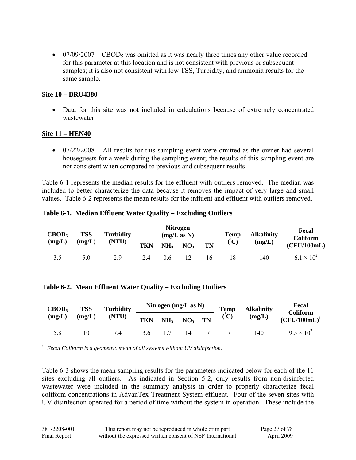• 07/09/2007 – CBOD<sub>5</sub> was omitted as it was nearly three times any other value recorded for this parameter at this location and is not consistent with previous or subsequent samples; it is also not consistent with low TSS, Turbidity, and ammonia results for the same sample.

#### **Site 10 – BRU4380**

• Data for this site was not included in calculations because of extremely concentrated wastewater.

#### **Site 11 – HEN40**

• 07/22/2008 – All results for this sampling event were omitted as the owner had several houseguests for a week during the sampling event; the results of this sampling event are not consistent when compared to previous and subsequent results.

Table 6-1 represents the median results for the effluent with outliers removed. The median was included to better characterize the data because it removes the impact of very large and small values. Table 6-2 represents the mean results for the influent and effluent with outliers removed.

| CBOD <sub>5</sub> | <b>TSS</b>      | <b>Turbidity</b> |     |                 | <b>Nitrogen</b><br>(mg/L as N) |    | <b>Temp</b>   | <b>Alkalinity</b> | Fecal<br><b>Coliform</b> |
|-------------------|-----------------|------------------|-----|-----------------|--------------------------------|----|---------------|-------------------|--------------------------|
| (mg/L)            | (NTU)<br>(mg/L) |                  | TKN | NH <sub>3</sub> | NO <sub>3</sub>                | TN | $^{\circ}$ C) | (mg/L)            | (CFU/100mL)              |
| 3.5               | 5.0             | 2.9              | 2.4 | 06              | 12                             | I6 |               | 140               | $6.1 \times 10^{2}$      |

#### **Table 6-1. Median Effluent Water Quality – Excluding Outliers**

|  |  | Table 6-2. Mean Effluent Water Quality – Excluding Outliers |  |
|--|--|-------------------------------------------------------------|--|
|  |  |                                                             |  |

| $\text{CBOD}_5$ | <b>TSS</b> | <b>Turbidity</b> | Nitrogen $(mg/L as N)$ |                 |                 | <b>Temp</b> | <b>Alkalinity</b> | Fecal<br>Coliform |                     |
|-----------------|------------|------------------|------------------------|-----------------|-----------------|-------------|-------------------|-------------------|---------------------|
| (mg/L)          | (mg/L)     | (NTU)            | <b>TKN</b>             | NH <sub>3</sub> | NO <sub>3</sub> | TN          | $\tilde{C}$       | (mg/L)            | $(CFU/100mL)^1$     |
| 5.8             | 10         | 7.4              | 3.6                    |                 |                 |             |                   | 140               | $9.5 \times 10^{2}$ |

*1 Fecal Coliform is a geometric mean of all systems without UV disinfection.* 

Table 6-3 shows the mean sampling results for the parameters indicated below for each of the 11 sites excluding all outliers. As indicated in Section 5-2, only results from non-disinfected wastewater were included in the summary analysis in order to properly characterize fecal coliform concentrations in AdvanTex Treatment System effluent. Four of the seven sites with UV disinfection operated for a period of time without the system in operation. These include the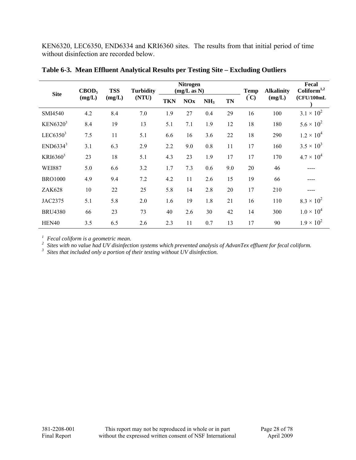KEN6320, LEC6350, END6334 and KRI6360 sites. The results from that initial period of time without disinfection are recorded below.

| <b>Site</b>          | CBOD <sub>5</sub> | <b>TSS</b> | <b>Turbidity</b> | <b>Nitrogen</b><br>(mg/L as N) |            |                 |           | <b>Temp</b> | <b>Alkalinity</b> | Fecal<br>Coliform <sup>1,2</sup> |
|----------------------|-------------------|------------|------------------|--------------------------------|------------|-----------------|-----------|-------------|-------------------|----------------------------------|
|                      | (mg/L)            | (mg/L)     | (NTU)            | <b>TKN</b>                     | <b>NOx</b> | NH <sub>3</sub> | <b>TN</b> | $\rm (C)$   | (mg/L)            | (CFU/100mL)                      |
| SMI4540              | 4.2               | 8.4        | 7.0              | 1.9                            | 27         | 0.4             | 29        | 16          | 100               | $3.1 \times 10^{2}$              |
| KEN6320 <sup>3</sup> | 8.4               | 19         | 13               | 5.1                            | 7.1        | 1.9             | 12        | 18          | 180               | $5.6 \times 10^{2}$              |
| LEC6350 $3$          | 7.5               | 11         | 5.1              | 6.6                            | 16         | 3.6             | 22        | 18          | 290               | $1.2 \times 10^{4}$              |
| END6334 <sup>3</sup> | 3.1               | 6.3        | 2.9              | 2.2                            | 9.0        | 0.8             | 11        | 17          | 160               | $3.5 \times 10^{3}$              |
| KRI6360 <sup>3</sup> | 23                | 18         | 5.1              | 4.3                            | 23         | 1.9             | 17        | 17          | 170               | $4.7 \times 10^{4}$              |
| <b>WEI887</b>        | 5.0               | 6.6        | 3.2              | 1.7                            | 7.3        | 0.6             | 9.0       | 20          | 46                |                                  |
| <b>BRO1000</b>       | 4.9               | 9.4        | 7.2              | 4.2                            | 11         | 2.6             | 15        | 19          | 66                |                                  |
| <b>ZAK628</b>        | 10                | 22         | 25               | 5.8                            | 14         | 2.8             | 20        | 17          | 210               | ----                             |
| JAC2375              | 5.1               | 5.8        | 2.0              | 1.6                            | 19         | 1.8             | 21        | 16          | 110               | $8.3 \times 10^{2}$              |
| <b>BRU4380</b>       | 66                | 23         | 73               | 40                             | 2.6        | 30              | 42        | 14          | 300               | $1.0 \times 10^{4}$              |
| HEN40                | 3.5               | 6.5        | 2.6              | 2.3                            | 11         | 0.7             | 13        | 17          | 90                | $1.9 \times 10^{2}$              |

**Table 6-3. Mean Effluent Analytical Results per Testing Site – Excluding Outliers** 

<sup>1</sup> Fecal coliform is a geometric mean.<br><sup>2</sup> Sites with no value had UV disinfection systems which prevented analysis of AdvanTex effluent for fecal coliform.<br><sup>3</sup> Sites that included only a portion of their testing without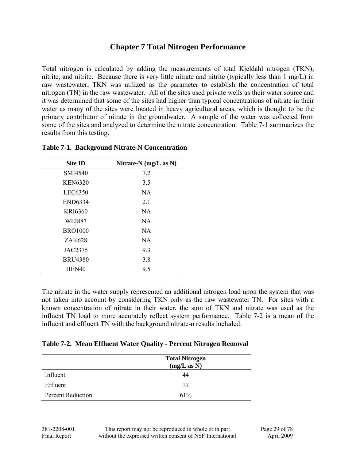#### **Chapter 7 Total Nitrogen Performance**

Total nitrogen is calculated by adding the measurements of total Kjeldahl nitrogen (TKN), nitrite, and nitrite. Because there is very little nitrate and nitrite (typically less than 1 mg/L) in raw wastewater, TKN was utilized as the parameter to establish the concentration of total nitrogen (TN) in the raw wastewater. All of the sites used private wells as their water source and it was determined that some of the sites had higher than typical concentrations of nitrate in their water as many of the sites were located in heavy agricultural areas, which is thought to be the primary contributor of nitrate in the groundwater. A sample of the water was collected from some of the sites and analyzed to determine the nitrate concentration. Table 7-1 summarizes the results from this testing.

| <b>Site ID</b> | Nitrate-N (mg/L as N) |
|----------------|-----------------------|
| SMI4540        | 7.2                   |
| <b>KEN6320</b> | 3.5                   |
| LEC6350        | <b>NA</b>             |
| <b>END6334</b> | 2.1                   |
| KRI6360        | <b>NA</b>             |
| <b>WEI887</b>  | <b>NA</b>             |
| <b>BRO1000</b> | <b>NA</b>             |
| ZAK628         | NA.                   |
| JAC2375        | 9.3                   |
| <b>BRU4380</b> | 3.8                   |
| HEN40          | 9.5                   |

#### **Table 7-1. Background Nitrate-N Concentration**

The nitrate in the water supply represented an additional nitrogen load upon the system that was not taken into account by considering TKN only as the raw wastewater TN. For sites with a known concentration of nitrate in their water, the sum of TKN and nitrate was used as the influent TN load to more accurately reflect system performance. Table 7-2 is a mean of the influent and effluent TN with the background nitrate-n results included.

#### **Table 7-2. Mean Effluent Water Quality - Percent Nitrogen Removal**

|                          | <b>Total Nitrogen</b><br>(mg/L as N) |
|--------------------------|--------------------------------------|
| Influent                 | 44                                   |
| Effluent                 | 17                                   |
| <b>Percent Reduction</b> | 61%                                  |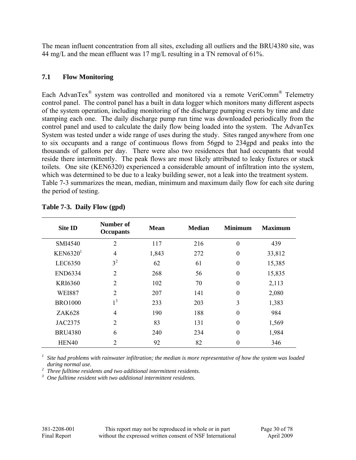The mean influent concentration from all sites, excluding all outliers and the BRU4380 site, was 44 mg/L and the mean effluent was 17 mg/L resulting in a TN removal of 61%.

#### **7.1 Flow Monitoring**

Each AdvanTex® system was controlled and monitored via a remote VeriComm® Telemetry control panel. The control panel has a built in data logger which monitors many different aspects of the system operation, including monitoring of the discharge pumping events by time and date stamping each one. The daily discharge pump run time was downloaded periodically from the control panel and used to calculate the daily flow being loaded into the system. The AdvanTex System was tested under a wide range of uses during the study. Sites ranged anywhere from one to six occupants and a range of continuous flows from 56gpd to 234gpd and peaks into the thousands of gallons per day. There were also two residences that had occupants that would reside there intermittently. The peak flows are most likely attributed to leaky fixtures or stuck toilets. One site (KEN6320) experienced a considerable amount of infiltration into the system, which was determined to be due to a leaky building sewer, not a leak into the treatment system. Table 7-3 summarizes the mean, median, minimum and maximum daily flow for each site during the period of testing.

| <b>Site ID</b>       | Number of<br><b>Occupants</b> | <b>Mean</b> | <b>Median</b> | <b>Minimum</b>   | <b>Maximum</b> |
|----------------------|-------------------------------|-------------|---------------|------------------|----------------|
| <b>SMI4540</b>       | $\overline{2}$                | 117         | 216           | $\overline{0}$   | 439            |
| KEN6320 <sup>1</sup> | 4                             | 1,843       | 272           | $\boldsymbol{0}$ | 33,812         |
| LEC6350              | 3 <sup>2</sup>                | 62          | 61            | $\boldsymbol{0}$ | 15,385         |
| <b>END6334</b>       | $\overline{2}$                | 268         | 56            | $\boldsymbol{0}$ | 15,835         |
| <b>KRI6360</b>       | $\overline{2}$                | 102         | 70            | $\boldsymbol{0}$ | 2,113          |
| <b>WEI887</b>        | $\overline{2}$                | 207         | 141           | $\boldsymbol{0}$ | 2,080          |
| <b>BRO1000</b>       | 1 <sup>3</sup>                | 233         | 203           | 3                | 1,383          |
| <b>ZAK628</b>        | 4                             | 190         | 188           | $\theta$         | 984            |
| <b>JAC2375</b>       | $\overline{2}$                | 83          | 131           | $\theta$         | 1,569          |
| <b>BRU4380</b>       | 6                             | 240         | 234           | $\theta$         | 1,984          |
| HEN40                | $\overline{2}$                | 92          | 82            | 0                | 346            |

#### **Table 7-3. Daily Flow (gpd)**

*1 Site had problems with rainwater infiltration; the median is more representative of how the system was loaded* 

*during normal use. 2 Three fulltime residents and two additional intermittent residents. 3 One fulltime resident with two additional intermittent residents.*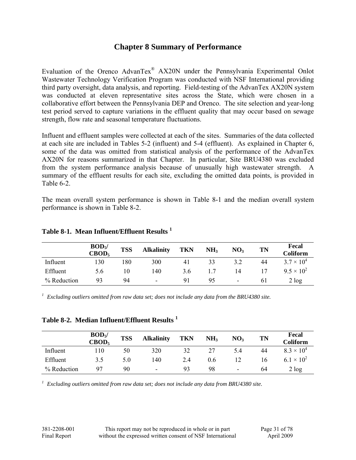#### **Chapter 8 Summary of Performance**

Evaluation of the Orenco AdvanTex® AX20N under the Pennsylvania Experimental Onlot Wastewater Technology Verification Program was conducted with NSF International providing third party oversight, data analysis, and reporting. Field-testing of the AdvanTex AX20N system was conducted at eleven representative sites across the State, which were chosen in a collaborative effort between the Pennsylvania DEP and Orenco. The site selection and year-long test period served to capture variations in the effluent quality that may occur based on sewage strength, flow rate and seasonal temperature fluctuations.

Influent and effluent samples were collected at each of the sites. Summaries of the data collected at each site are included in Tables 5-2 (influent) and 5-4 (effluent). As explained in Chapter 6, some of the data was omitted from statistical analysis of the performance of the AdvanTex AX20N for reasons summarized in that Chapter. In particular, Site BRU4380 was excluded from the system performance analysis because of unusually high wastewater strength. A summary of the effluent results for each site, excluding the omitted data points, is provided in Table 6-2.

The mean overall system performance is shown in Table 8-1 and the median overall system performance is shown in Table 8-2.

|             | BOD <sub>5</sub><br>CBOD <sub>5</sub> | <b>TSS</b> | <b>Alkalinity</b>        | <b>TKN</b> | NH <sub>3</sub> | NO <sub>3</sub> | TN | Fecal<br><b>Coliform</b> |
|-------------|---------------------------------------|------------|--------------------------|------------|-----------------|-----------------|----|--------------------------|
| Influent    | 130                                   | .80        | 300                      | 41         | 33              | 3.2             | 44 | $3.7 \times 10^{4}$      |
| Effluent    | 5.6                                   | 10         | 140                      | 3.6        |                 | 14              | 17 | $9.5 \times 10^{2}$      |
| % Reduction | 93                                    | 94         | $\overline{\phantom{a}}$ | 91         | 95              | ۰               | 61 | 2 log                    |

#### **Table 8-1. Mean Influent/Effluent Results <sup>1</sup>**

*1 Excluding outliers omitted from raw data set; does not include any data from the BRU4380 site.* 

**Table 8-2. Median Influent/Effluent Results <sup>1</sup>**

|             | BOD <sub>5</sub><br>CBOD <sub>5</sub> | <b>TSS</b> | <b>Alkalinity</b> | <b>TKN</b> | NH <sub>3</sub> | NO <sub>3</sub> | <b>TN</b> | Fecal<br><b>Coliform</b> |
|-------------|---------------------------------------|------------|-------------------|------------|-----------------|-----------------|-----------|--------------------------|
| Influent    | 110                                   | 50         | 320               | 32         | 27              | 5.4             | 44        | $8.3 \times 10^{4}$      |
| Effluent    | 3.5                                   | 5.0        | 140               | 2.4        | 0.6             |                 | 16        | $6.1 \times 10^{2}$      |
| % Reduction | Q7                                    | 90         | ۰                 | 93         | 98              | ۰               | 64        | 2 log                    |

*1 Excluding outliers omitted from raw data set; does not include any data from BRU4380 site.*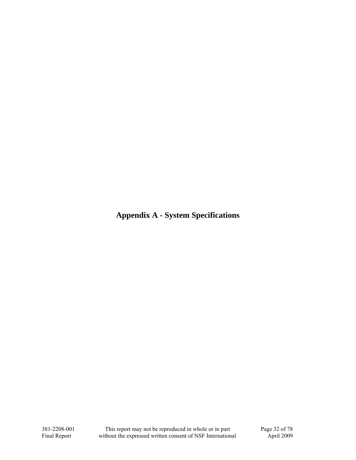**Appendix A - System Specifications**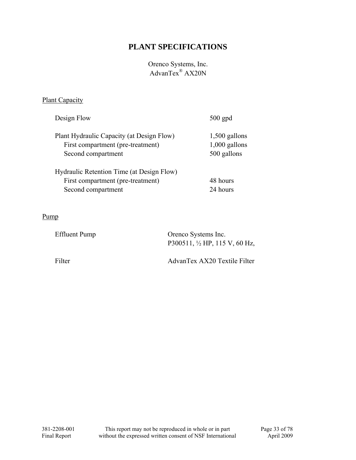## **PLANT SPECIFICATIONS**

#### Orenco Systems, Inc. AdvanTex® AX20N

#### **Plant Capacity**

| Design Flow                                                                                          | $500$ gpd                                         |
|------------------------------------------------------------------------------------------------------|---------------------------------------------------|
| Plant Hydraulic Capacity (at Design Flow)<br>First compartment (pre-treatment)<br>Second compartment | $1,500$ gallons<br>$1,000$ gallons<br>500 gallons |
| Hydraulic Retention Time (at Design Flow)<br>First compartment (pre-treatment)<br>Second compartment | 48 hours<br>24 hours                              |

#### Pump

| Effluent Pump | Orenco Systems Inc.                      |
|---------------|------------------------------------------|
|               | P300511, $\frac{1}{2}$ HP, 115 V, 60 Hz, |
|               |                                          |

Filter AdvanTex AX20 Textile Filter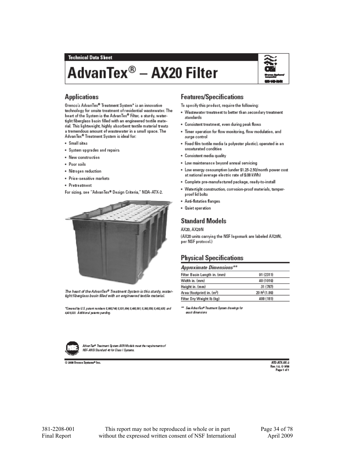# AdvanTex® - AX20 Filter



#### **Applications**

Orenco's AdvanTex® Treatment System\* is an innovative technology for onsite treatment of residential wastewater. The heart of the System is the AdvanTex® Filter, a sturdy, watertight fiberglass basin filled with an engineered textile material. This lightweight, highly absorbent textile material treats a tremendous amount of wastewater in a small space. The AdvanTex® Treatment System is ideal for:

- · Small sites
- · System upgrades and repairs
- · New construction
- · Poor soils
- · Nitrogen reduction
- · Price-sensitive markets
- Pretreatment

For sizing, see "AdvanTex® Design Criteria," NDA-ATX-2.



The heart of the AdvanTex® Treatment System is this sturdy, watertight fiberglass basin filled with an engineered textile material.

"Covered by U.S. patent numbers 5,880,748; 5,531,894; 5,480,581; 5,380,558; 5,482,635; and 4439,323. Additional patents panding.



AdvanTex® Treatment System AXII Models meet the requirements of ISF-ANSI Standard 40 for Class I Systems.

@ 2008 Orenco Systems® Inc.

#### **Features/Specifications**

To specify this product, require the following:

- . Wastewater treatment to better than secondary treatment standards
- . Consistent treatment, even during peak flows
- . Timer operation for flow monitoring, flow modulation, and surge control
- · Fixed film textile media (a polyester plastic), operated in an unsaturated condition
- · Consistent media quality
- . Low maintenance beyond annual servicing
- . Low energy consumption (under \$1.25-2.50/month power cost at national average electric rate of \$.08 kWh)
- · Complete pre-manufactured package, ready-to-install
- . Watertight construction, corrosion-proof materials, tamperproof lid bolts
- · Anti-flotation flanges
- · Quiet operation

#### **Standard Models**

#### AX20, AX20N

(AX20 units carrying the NSF logomark are labeled AX20N, per NSF protocol.)

#### **Physical Specifications**

Approximate Dimensions\*\*

| Filter Basin Length in. (mm) | 91 (2311)                   |
|------------------------------|-----------------------------|
| Width in. (mm)               | 40 (1016)                   |
| Height in. (mm)              | 31 (787)                    |
| Area (footprint) in. (m2)    | $20$ ft <sup>2</sup> (1.86) |
| Filter Dry Weight Ib (kg)    | 400 (181)                   |

\*\* See AdvanTex® Treatment System drawings for avoit dimansions.

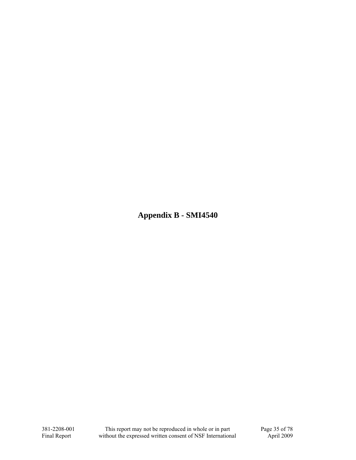**Appendix B - SMI4540**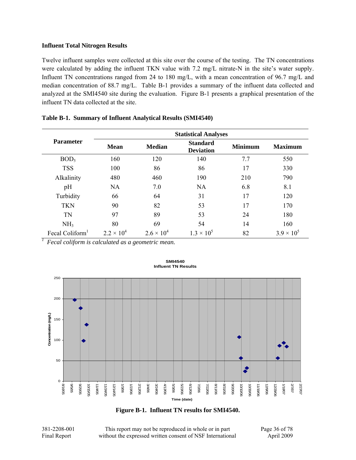Twelve influent samples were collected at this site over the course of the testing. The TN concentrations were calculated by adding the influent TKN value with 7.2 mg/L nitrate-N in the site's water supply. Influent TN concentrations ranged from 24 to 180 mg/L, with a mean concentration of 96.7 mg/L and median concentration of 88.7 mg/L. Table B-1 provides a summary of the influent data collected and analyzed at the SMI4540 site during the evaluation. Figure B-1 presents a graphical presentation of the influent TN data collected at the site.

|                             | <b>Statistical Analyses</b> |                     |                                     |                |                     |  |
|-----------------------------|-----------------------------|---------------------|-------------------------------------|----------------|---------------------|--|
| <b>Parameter</b>            | <b>Mean</b>                 | <b>Median</b>       | <b>Standard</b><br><b>Deviation</b> | <b>Minimum</b> | <b>Maximum</b>      |  |
| BOD <sub>5</sub>            | 160                         | 120                 | 140                                 | 7.7            | 550                 |  |
| <b>TSS</b>                  | 100                         | 86                  | 86                                  | 17             | 330                 |  |
| Alkalinity                  | 480                         | 460                 | 190                                 | 210            | 790                 |  |
| pH                          | <b>NA</b>                   | 7.0                 | <b>NA</b>                           | 6.8            | 8.1                 |  |
| Turbidity                   | 66                          | 64                  | 31                                  | 17             | 120                 |  |
| <b>TKN</b>                  | 90                          | 82                  | 53                                  | 17             | 170                 |  |
| TN                          | 97                          | 89                  | 53                                  | 24             | 180                 |  |
| NH <sub>3</sub>             | 80                          | 69                  | 54                                  | 14             | 160                 |  |
| Fecal Coliform <sup>1</sup> | $2.2 \times 10^{4}$         | $2.6 \times 10^{4}$ | $1.3 \times 10^{5}$                 | 82             | $3.9 \times 10^{5}$ |  |

### **Table B-1. Summary of Influent Analytical Results (SMI4540)**

*1 Fecal coliform is calculated as a geometric mean.* 



#### **SMI4540 Influent TN Results**

**Figure B-1. Influent TN results for SMI4540.** 

381-2208-001 This report may not be reproduced in whole or in part Page 36 of 78 Final Report without the expressed written consent of NSF International April 2009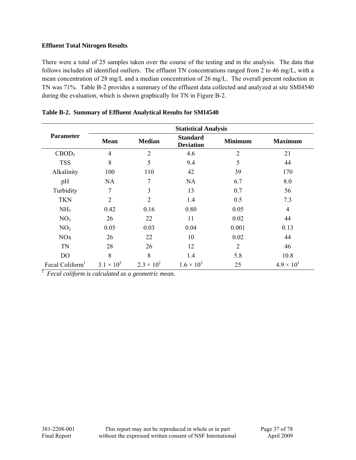There were a total of 25 samples taken over the course of the testing and in the analysis. The data that follows includes all identified outliers. The effluent TN concentrations ranged from 2 to 46 mg/L, with a mean concentration of 28 mg/L and a median concentration of 26 mg/L. The overall percent reduction in TN was 71%. Table B-2 provides a summary of the effluent data collected and analyzed at site SMI4540 during the evaluation, which is shown graphically for TN in Figure B-2.

|                             | <b>Statistical Analysis</b> |                     |                                     |                |                     |  |  |  |
|-----------------------------|-----------------------------|---------------------|-------------------------------------|----------------|---------------------|--|--|--|
| <b>Parameter</b>            | <b>Mean</b>                 | <b>Median</b>       | <b>Standard</b><br><b>Deviation</b> | <b>Minimum</b> | <b>Maximum</b>      |  |  |  |
| CBOD <sub>5</sub>           | $\overline{4}$              | $\overline{2}$      | 4.6                                 | $\overline{2}$ | 21                  |  |  |  |
| <b>TSS</b>                  | 8                           | 5                   | 9.4                                 | 5              | 44                  |  |  |  |
| Alkalinity                  | 100                         | 110                 | 42                                  | 39             | 170                 |  |  |  |
| pH                          | <b>NA</b>                   | 7                   | <b>NA</b>                           | 6.7            | 8.0                 |  |  |  |
| Turbidity                   | 7                           | 3                   | 13                                  | 0.7            | 56                  |  |  |  |
| <b>TKN</b>                  | $\overline{2}$              | $\overline{2}$      | 1.4                                 | 0.5            | 7.3                 |  |  |  |
| NH <sub>3</sub>             | 0.42                        | 0.16                | 0.80                                | 0.05           | $\overline{4}$      |  |  |  |
| NO <sub>3</sub>             | 26                          | 22                  | 11                                  | 0.02           | 44                  |  |  |  |
| NO <sub>2</sub>             | 0.05                        | 0.03                | 0.04                                | 0.001          | 0.13                |  |  |  |
| <b>NO<sub>x</sub></b>       | 26                          | 22                  | 10                                  | 0.02           | 44                  |  |  |  |
| TN                          | 28                          | 26                  | 12                                  | 2              | 46                  |  |  |  |
| DO                          | 8                           | 8                   | 1.4                                 | 5.8            | 10.8                |  |  |  |
| Fecal Coliform <sup>1</sup> | $3.1 \times 10^{2}$         | $2.3 \times 10^{2}$ | $1.6 \times 10^{3}$                 | 25             | $4.9 \times 10^{3}$ |  |  |  |

| Table B-2. Summary of Effluent Analytical Results for SMI4540 |
|---------------------------------------------------------------|
|---------------------------------------------------------------|

*1 Fecal coliform is calculated as a geometric mean.*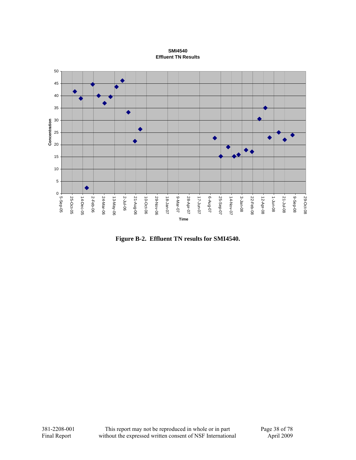#### **SMI4540 Effluent TN Results**



**Figure B-2. Effluent TN results for SMI4540.**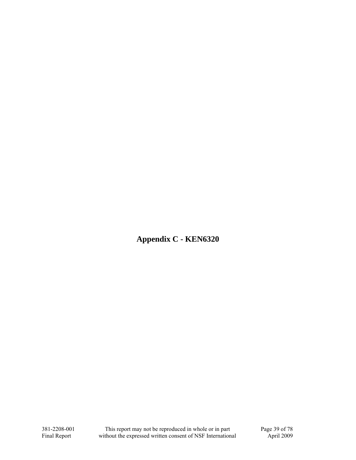**Appendix C - KEN6320**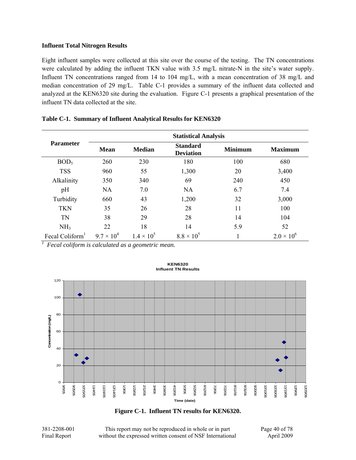Eight influent samples were collected at this site over the course of the testing. The TN concentrations were calculated by adding the influent TKN value with 3.5 mg/L nitrate-N in the site's water supply. Influent TN concentrations ranged from 14 to 104 mg/L, with a mean concentration of 38 mg/L and median concentration of 29 mg/L. Table C-1 provides a summary of the influent data collected and analyzed at the KEN6320 site during the evaluation. Figure C-1 presents a graphical presentation of the influent TN data collected at the site.

|                             | <b>Statistical Analysis</b> |                   |                                     |                |                     |  |  |
|-----------------------------|-----------------------------|-------------------|-------------------------------------|----------------|---------------------|--|--|
| <b>Parameter</b>            | <b>Mean</b>                 | <b>Median</b>     | <b>Standard</b><br><b>Deviation</b> | <b>Minimum</b> | <b>Maximum</b>      |  |  |
| BOD <sub>5</sub>            | 260                         | 230               | 180                                 | 100            | 680                 |  |  |
| <b>TSS</b>                  | 960                         | 55                | 1,300                               | 20             | 3,400               |  |  |
| Alkalinity                  | 350                         | 340               | 69                                  | 240            | 450                 |  |  |
| pH                          | <b>NA</b>                   | 7.0               | <b>NA</b>                           | 6.7            | 7.4                 |  |  |
| Turbidity                   | 660                         | 43                | 1,200                               | 32             | 3,000               |  |  |
| <b>TKN</b>                  | 35                          | 26                | 28                                  | 11             | 100                 |  |  |
| <b>TN</b>                   | 38                          | 29                | 28                                  | 14             | 104                 |  |  |
| NH <sub>3</sub>             | 22                          | 18                | 14                                  | 5.9            | 52                  |  |  |
| Fecal Coliform <sup>1</sup> | $9.7 \times 10^{4}$         | $1.4 \times 10^5$ | $8.8 \times 10^5$                   |                | $2.0 \times 10^{6}$ |  |  |

### **Table C-1. Summary of Influent Analytical Results for KEN6320**

*1 Fecal coliform is calculated as a geometric mean.* 



#### **KEN6320 Influent TN Results**

**Figure C-1. Influent TN results for KEN6320.** 

381-2208-001 This report may not be reproduced in whole or in part Page 40 of 78 Final Report without the expressed written consent of NSF International April 2009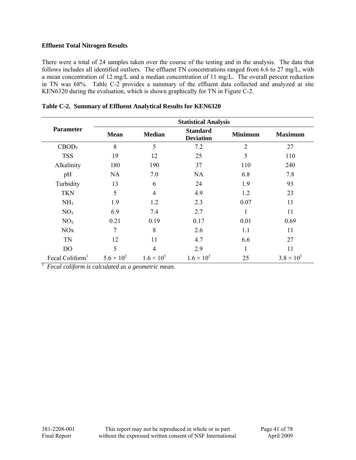There were a total of 24 samples taken over the course of the testing and in the analysis. The data that follows includes all identified outliers. The effluent TN concentrations ranged from 6.6 to 27 mg/L, with a mean concentration of 12 mg/L and a median concentration of 11 mg/L. The overall percent reduction in TN was 68%. Table C-2 provides a summary of the effluent data collected and analyzed at site KEN6320 during the evaluation, which is shown graphically for TN in Figure C-2.

|                             | <b>Statistical Analysis</b> |                     |                                     |                |                     |  |  |
|-----------------------------|-----------------------------|---------------------|-------------------------------------|----------------|---------------------|--|--|
| <b>Parameter</b>            | <b>Mean</b>                 | <b>Median</b>       | <b>Standard</b><br><b>Deviation</b> | <b>Minimum</b> | <b>Maximum</b>      |  |  |
| CBOD <sub>5</sub>           | 8                           | 5                   | 7.2                                 | $\overline{2}$ | 27                  |  |  |
| <b>TSS</b>                  | 19                          | 12                  | 25                                  | 5              | 110                 |  |  |
| Alkalinity                  | 180                         | 190                 | 37                                  | 110            | 240                 |  |  |
| pH                          | <b>NA</b>                   | 7.0                 | <b>NA</b>                           | 6.8            | 7.8                 |  |  |
| Turbidity                   | 13                          | 6                   | 24                                  | 1.9            | 93                  |  |  |
| <b>TKN</b>                  | 5                           | 4                   | 4.9                                 | 1.2            | 23                  |  |  |
| NH <sub>3</sub>             | 1.9                         | 1.2                 | 2.3                                 | 0.07           | 11                  |  |  |
| NO <sub>3</sub>             | 6.9                         | 7.4                 | 2.7                                 |                | 11                  |  |  |
| NO <sub>2</sub>             | 0.21                        | 0.19                | 0.17                                | 0.01           | 0.69                |  |  |
| NOx                         | 7                           | 8                   | 2.6                                 | 1.1            | 11                  |  |  |
| TN                          | 12                          | 11                  | 4.7                                 | 6.6            | 27                  |  |  |
| D <sub>O</sub>              | 5                           | 4                   | 2.9                                 | 1              | 11                  |  |  |
| Fecal Coliform <sup>1</sup> | $5.6 \times 10^{2}$         | $1.6 \times 10^{3}$ | $1.6 \times 10^{3}$                 | 25             | $3.8 \times 10^{3}$ |  |  |

| Table C-2. Summary of Effluent Analytical Results for KEN6320 |  |  |  |
|---------------------------------------------------------------|--|--|--|
|                                                               |  |  |  |

*1 Fecal coliform is calculated as a geometric mean.*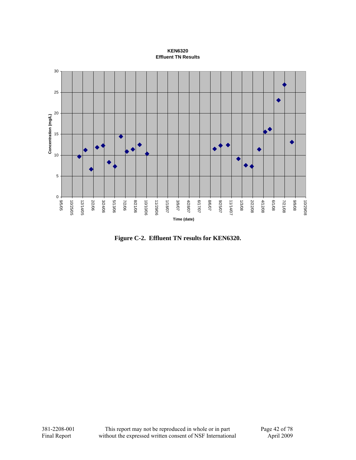### **KEN6320 Effluent TN Results**



**Figure C-2. Effluent TN results for KEN6320.**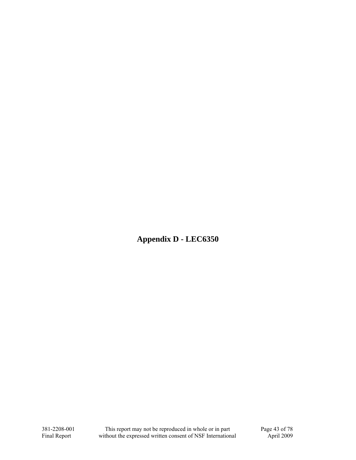**Appendix D - LEC6350**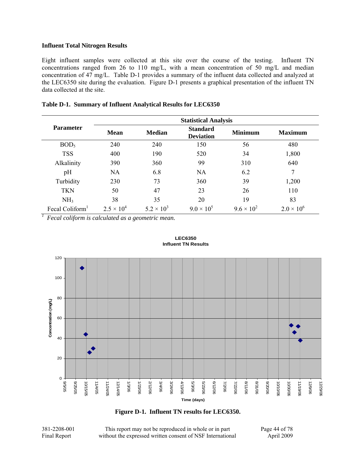Eight influent samples were collected at this site over the course of the testing. Influent TN concentrations ranged from 26 to 110 mg/L, with a mean concentration of 50 mg/L and median concentration of 47 mg/L. Table D-1 provides a summary of the influent data collected and analyzed at the LEC6350 site during the evaluation. Figure D-1 presents a graphical presentation of the influent TN data collected at the site.

|                             | <b>Statistical Analysis</b> |                     |                                     |                     |                     |  |  |
|-----------------------------|-----------------------------|---------------------|-------------------------------------|---------------------|---------------------|--|--|
| <b>Parameter</b>            | <b>Mean</b>                 | <b>Median</b>       | <b>Standard</b><br><b>Deviation</b> | <b>Minimum</b>      | <b>Maximum</b>      |  |  |
| BOD <sub>5</sub>            | 240                         | 240                 | 150                                 | 56                  | 480                 |  |  |
| <b>TSS</b>                  | 400                         | 190                 | 520                                 | 34                  | 1,800               |  |  |
| Alkalinity                  | 390                         | 360                 | 99                                  | 310                 | 640                 |  |  |
| pH                          | NA                          | 6.8                 | <b>NA</b>                           | 6.2                 | 7                   |  |  |
| Turbidity                   | 230                         | 73                  | 360                                 | 39                  | 1,200               |  |  |
| <b>TKN</b>                  | 50                          | 47                  | 23                                  | 26                  | 110                 |  |  |
| NH <sub>3</sub>             | 38                          | 35                  | 20                                  | 19                  | 83                  |  |  |
| Fecal Coliform <sup>1</sup> | $2.5 \times 10^{4}$         | $5.2 \times 10^{3}$ | $9.0 \times 10^{5}$                 | $9.6 \times 10^{2}$ | $2.0 \times 10^{6}$ |  |  |

### **Table D-1. Summary of Influent Analytical Results for LEC6350**

*1 Fecal coliform is calculated as a geometric mean.* 



#### **LEC6350 Influent TN Results**

**Figure D-1. Influent TN results for LEC6350.** 

381-2208-001 This report may not be reproduced in whole or in part Page 44 of 78 Final Report without the expressed written consent of NSF International April 2009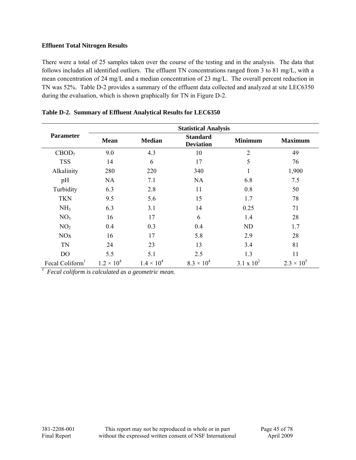There were a total of 25 samples taken over the course of the testing and in the analysis. The data that follows includes all identified outliers. The effluent TN concentrations ranged from 3 to 81 mg/L, with a mean concentration of 24 mg/L and a median concentration of 23 mg/L. The overall percent reduction in TN was 52%. Table D-2 provides a summary of the effluent data collected and analyzed at site LEC6350 during the evaluation, which is shown graphically for TN in Figure D-2.

|                             | <b>Statistical Analysis</b> |                     |                                     |                |                     |  |  |
|-----------------------------|-----------------------------|---------------------|-------------------------------------|----------------|---------------------|--|--|
| <b>Parameter</b>            | <b>Mean</b>                 | <b>Median</b>       | <b>Standard</b><br><b>Deviation</b> | <b>Minimum</b> | <b>Maximum</b>      |  |  |
| CBOD <sub>5</sub>           | 9.0                         | 4.3                 | 10                                  | $\overline{2}$ | 49                  |  |  |
| <b>TSS</b>                  | 14                          | 6                   | 17                                  | 5              | 76                  |  |  |
| Alkalinity                  | 280                         | 220                 | 340                                 | 1              | 1,900               |  |  |
| pH                          | <b>NA</b>                   | 7.1                 | NA                                  | 6.8            | 7.5                 |  |  |
| Turbidity                   | 6.3                         | 2.8                 | 11                                  | 0.8            | 50                  |  |  |
| <b>TKN</b>                  | 9.5                         | 5.6                 | 15                                  | 1.7            | 78                  |  |  |
| NH <sub>3</sub>             | 6.3                         | 3.1                 | 14                                  | 0.25           | 71                  |  |  |
| NO <sub>3</sub>             | 16                          | 17                  | 6                                   | 1.4            | 28                  |  |  |
| NO <sub>2</sub>             | 0.4                         | 0.3                 | 0.4                                 | ND             | 1.7                 |  |  |
| NOx                         | 16                          | 17                  | 5.8                                 | 2.9            | 28                  |  |  |
| <b>TN</b>                   | 24                          | 23                  | 13                                  | 3.4            | 81                  |  |  |
| D <sub>O</sub>              | 5.5                         | 5.1                 | 2.5                                 | 1.3            | 11                  |  |  |
| Fecal Coliform <sup>1</sup> | $1.2 \times 10^{4}$         | $1.4 \times 10^{4}$ | $8.3 \times 10^{4}$                 | 3.1 x $10^2$   | $2.3 \times 10^{5}$ |  |  |

## **Table D-2. Summary of Effluent Analytical Results for LEC6350**

*1 Fecal coliform is calculated as a geometric mean.*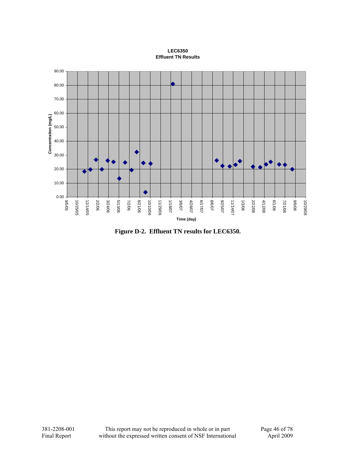**LEC6350 Effluent TN Results**



**Figure D-2. Effluent TN results for LEC6350.**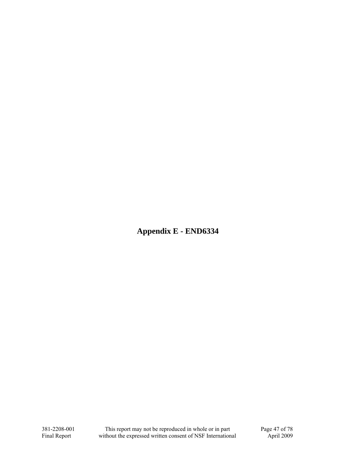**Appendix E - END6334**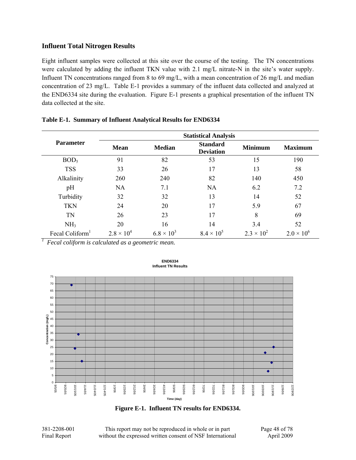Eight influent samples were collected at this site over the course of the testing. The TN concentrations were calculated by adding the influent TKN value with 2.1 mg/L nitrate-N in the site's water supply. Influent TN concentrations ranged from 8 to 69 mg/L, with a mean concentration of 26 mg/L and median concentration of 23 mg/L. Table E-1 provides a summary of the influent data collected and analyzed at the END6334 site during the evaluation. Figure E-1 presents a graphical presentation of the influent TN data collected at the site.

|                  | <b>Statistical Analysis</b> |                     |                                     |                     |                     |  |  |
|------------------|-----------------------------|---------------------|-------------------------------------|---------------------|---------------------|--|--|
| <b>Parameter</b> | <b>Mean</b>                 | <b>Median</b>       | <b>Standard</b><br><b>Deviation</b> | <b>Minimum</b>      | <b>Maximum</b>      |  |  |
| BOD <sub>5</sub> | 91                          | 82                  | 53                                  | 15                  | 190                 |  |  |
| <b>TSS</b>       | 33                          | 26                  | 17                                  | 13                  | 58                  |  |  |
| Alkalinity       | 260                         | 240                 | 82                                  | 140                 | 450                 |  |  |
| pH               | <b>NA</b>                   | 7.1                 | <b>NA</b>                           | 6.2                 | 7.2                 |  |  |
| Turbidity        | 32                          | 32                  | 13                                  | 14                  | 52                  |  |  |
| <b>TKN</b>       | 24                          | 20                  | 17                                  | 5.9                 | 67                  |  |  |
| <b>TN</b>        | 26                          | 23                  | 17                                  | 8                   | 69                  |  |  |
| NH <sub>3</sub>  | 20                          | 16                  | 14                                  | 3.4                 | 52                  |  |  |
| Fecal Coliform   | $2.8 \times 10^{4}$         | $6.8 \times 10^{3}$ | $8.4 \times 10^{5}$                 | $2.3 \times 10^{2}$ | $2.0 \times 10^{6}$ |  |  |

## **Table E-1. Summary of Influent Analytical Results for END6334**

*1 Fecal coliform is calculated as a geometric mean.* 



#### **END6334 Influent TN Results**

**Figure E-1. Influent TN results for END6334.** 

381-2208-001 This report may not be reproduced in whole or in part Page 48 of 78 Final Report without the expressed written consent of NSF International April 2009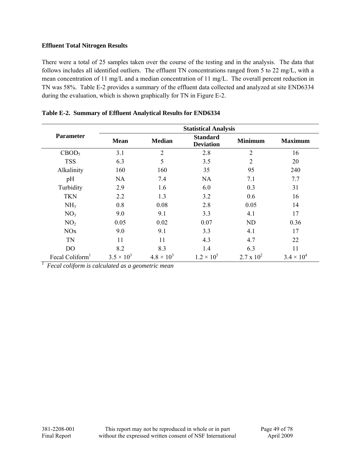There were a total of 25 samples taken over the course of the testing and in the analysis. The data that follows includes all identified outliers. The effluent TN concentrations ranged from 5 to 22 mg/L, with a mean concentration of 11 mg/L and a median concentration of 11 mg/L. The overall percent reduction in TN was 58%. Table E-2 provides a summary of the effluent data collected and analyzed at site END6334 during the evaluation, which is shown graphically for TN in Figure E-2.

|                             | <b>Statistical Analysis</b> |                     |                                     |                     |                     |  |  |
|-----------------------------|-----------------------------|---------------------|-------------------------------------|---------------------|---------------------|--|--|
| <b>Parameter</b>            | <b>Mean</b>                 | <b>Median</b>       | <b>Standard</b><br><b>Deviation</b> | <b>Minimum</b>      | <b>Maximum</b>      |  |  |
| CBOD <sub>5</sub>           | 3.1                         | $\overline{2}$      | 2.8                                 | $\overline{2}$      | 16                  |  |  |
| <b>TSS</b>                  | 6.3                         | 5                   | 3.5                                 | $\overline{2}$      | 20                  |  |  |
| Alkalinity                  | 160                         | 160                 | 35                                  | 95                  | 240                 |  |  |
| pH                          | <b>NA</b>                   | 7.4                 | <b>NA</b>                           | 7.1                 | 7.7                 |  |  |
| Turbidity                   | 2.9                         | 1.6                 | 6.0                                 | 0.3                 | 31                  |  |  |
| <b>TKN</b>                  | 2.2                         | 1.3                 | 3.2                                 | 0.6                 | 16                  |  |  |
| NH <sub>3</sub>             | 0.8                         | 0.08                | 2.8                                 | 0.05                | 14                  |  |  |
| NO <sub>3</sub>             | 9.0                         | 9.1                 | 3.3                                 | 4.1                 | 17                  |  |  |
| NO <sub>2</sub>             | 0.05                        | 0.02                | 0.07                                | <b>ND</b>           | 0.36                |  |  |
| <b>NO<sub>x</sub></b>       | 9.0                         | 9.1                 | 3.3                                 | 4.1                 | 17                  |  |  |
| TN                          | 11                          | 11                  | 4.3                                 | 4.7                 | 22                  |  |  |
| D <sub>O</sub>              | 8.2                         | 8.3                 | 1.4                                 | 6.3                 | 11                  |  |  |
| Fecal Coliform <sup>1</sup> | $3.5 \times 10^{3}$         | $4.8 \times 10^{3}$ | $1.2 \times 10^{5}$                 | $2.7 \times 10^{2}$ | $3.4 \times 10^{4}$ |  |  |

## **Table E-2. Summary of Effluent Analytical Results for END6334**

*1 Fecal coliform is calculated as a geometric mean*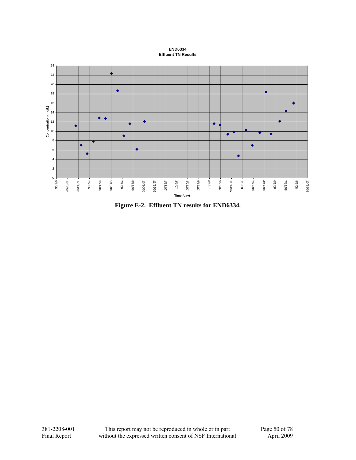**END6334 Effluent TN Results**



**Figure E-2. Effluent TN results for END6334.**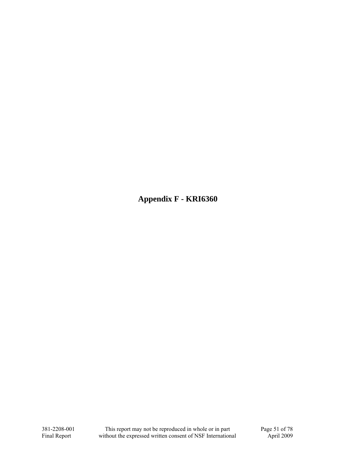**Appendix F - KRI6360**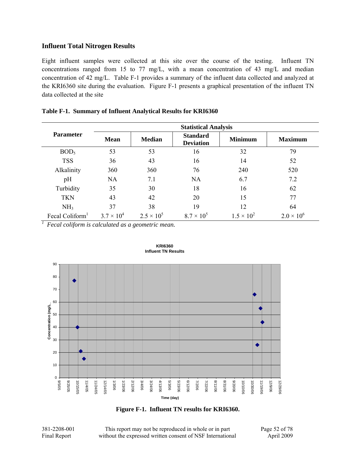Eight influent samples were collected at this site over the course of the testing. Influent TN concentrations ranged from 15 to 77 mg/L, with a mean concentration of 43 mg/L and median concentration of 42 mg/L. Table F-1 provides a summary of the influent data collected and analyzed at the KRI6360 site during the evaluation. Figure F-1 presents a graphical presentation of the influent TN data collected at the site

|                             | <b>Statistical Analysis</b> |                     |                                     |                     |                     |  |  |  |
|-----------------------------|-----------------------------|---------------------|-------------------------------------|---------------------|---------------------|--|--|--|
| <b>Parameter</b>            | <b>Mean</b>                 | <b>Median</b>       | <b>Standard</b><br><b>Deviation</b> | <b>Minimum</b>      | <b>Maximum</b>      |  |  |  |
| BOD <sub>5</sub>            | 53                          | 53                  | 16                                  | 32                  | 79                  |  |  |  |
| <b>TSS</b>                  | 36                          | 43                  | 16                                  | 14                  | 52                  |  |  |  |
| Alkalinity                  | 360                         | 360                 | 76                                  | 240                 | 520                 |  |  |  |
| pH                          | <b>NA</b>                   | 7.1                 | <b>NA</b>                           | 6.7                 | 7.2                 |  |  |  |
| Turbidity                   | 35                          | 30                  | 18                                  | 16                  | 62                  |  |  |  |
| <b>TKN</b>                  | 43                          | 42                  | 20                                  | 15                  | 77                  |  |  |  |
| NH <sub>3</sub>             | 37                          | 38                  | 19                                  | 12                  | 64                  |  |  |  |
| Fecal Coliform <sup>1</sup> | $3.7 \times 10^{4}$         | $2.5 \times 10^{5}$ | $8.7 \times 10^{5}$                 | $1.5 \times 10^{2}$ | $2.0 \times 10^{6}$ |  |  |  |

|  | Table F-1. Summary of Influent Analytical Results for KRI6360 |  |  |  |  |
|--|---------------------------------------------------------------|--|--|--|--|
|--|---------------------------------------------------------------|--|--|--|--|

*1 Fecal coliform is calculated as a geometric mean.* 



**KRI6360 Influent TN Results**



381-2208-001 This report may not be reproduced in whole or in part Page 52 of 78 Final Report without the expressed written consent of NSF International April 2009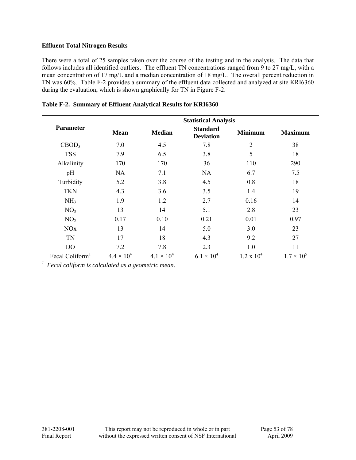There were a total of 25 samples taken over the course of the testing and in the analysis. The data that follows includes all identified outliers. The effluent TN concentrations ranged from 9 to 27 mg/L, with a mean concentration of 17 mg/L and a median concentration of 18 mg/L. The overall percent reduction in TN was 60%. Table F-2 provides a summary of the effluent data collected and analyzed at site KRI6360 during the evaluation, which is shown graphically for TN in Figure F-2.

|                             | <b>Statistical Analysis</b> |                     |                                     |                   |                     |  |  |
|-----------------------------|-----------------------------|---------------------|-------------------------------------|-------------------|---------------------|--|--|
| <b>Parameter</b>            | <b>Mean</b>                 | <b>Median</b>       | <b>Standard</b><br><b>Deviation</b> | <b>Minimum</b>    | <b>Maximum</b>      |  |  |
| CBOD <sub>5</sub>           | 7.0                         | 4.5                 | 7.8                                 | $\overline{2}$    | 38                  |  |  |
| <b>TSS</b>                  | 7.9                         | 6.5                 | 3.8                                 | 5                 | 18                  |  |  |
| Alkalinity                  | 170                         | 170                 | 36                                  | 110               | 290                 |  |  |
| pH                          | NA                          | 7.1                 | <b>NA</b>                           | 6.7               | 7.5                 |  |  |
| Turbidity                   | 5.2                         | 3.8                 | 4.5                                 | 0.8               | 18                  |  |  |
| <b>TKN</b>                  | 4.3                         | 3.6                 | 3.5                                 | 1.4               | 19                  |  |  |
| NH <sub>3</sub>             | 1.9                         | 1.2                 | 2.7                                 | 0.16              | 14                  |  |  |
| NO <sub>3</sub>             | 13                          | 14                  | 5.1                                 | 2.8               | 23                  |  |  |
| NO <sub>2</sub>             | 0.17                        | 0.10                | 0.21                                | 0.01              | 0.97                |  |  |
| NOx                         | 13                          | 14                  | 5.0                                 | 3.0               | 23                  |  |  |
| TN                          | 17                          | 18                  | 4.3                                 | 9.2               | 27                  |  |  |
| DO                          | 7.2                         | 7.8                 | 2.3                                 | 1.0               | 11                  |  |  |
| Fecal Coliform <sup>1</sup> | $4.4 \times 10^{4}$         | $4.1 \times 10^{4}$ | $6.1 \times 10^{4}$                 | $1.2 \times 10^4$ | $1.7 \times 10^{5}$ |  |  |

|  | Table F-2. Summary of Effluent Analytical Results for KRI6360 |  |  |  |  |
|--|---------------------------------------------------------------|--|--|--|--|
|--|---------------------------------------------------------------|--|--|--|--|

*1 Fecal coliform is calculated as a geometric mean.*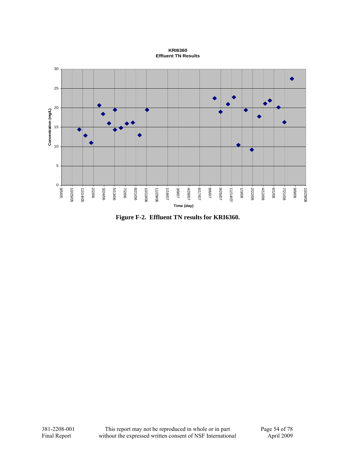**KRI6360 Effluent TN Results**



**Figure F-2. Effluent TN results for KRI6360.**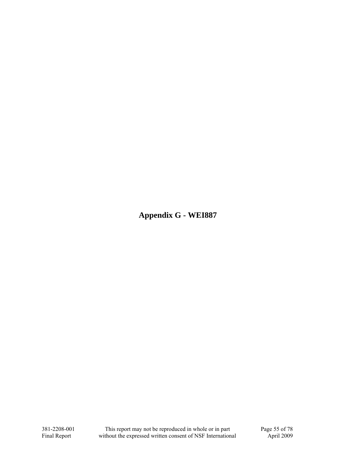**Appendix G - WEI887**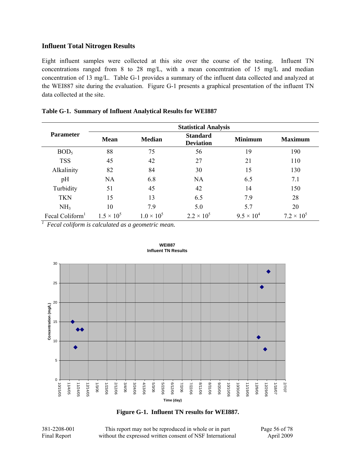Eight influent samples were collected at this site over the course of the testing. Influent TN concentrations ranged from 8 to 28 mg/L, with a mean concentration of 15 mg/L and median concentration of 13 mg/L. Table G-1 provides a summary of the influent data collected and analyzed at the WEI887 site during the evaluation. Figure G-1 presents a graphical presentation of the influent TN data collected at the site.

|                             | <b>Statistical Analysis</b> |                     |                                     |                     |                     |  |  |  |  |
|-----------------------------|-----------------------------|---------------------|-------------------------------------|---------------------|---------------------|--|--|--|--|
| <b>Parameter</b>            | <b>Mean</b>                 | <b>Median</b>       | <b>Standard</b><br><b>Deviation</b> | <b>Minimum</b>      | <b>Maximum</b>      |  |  |  |  |
| BOD <sub>5</sub>            | 88                          | 75                  | 56                                  | 19                  | 190                 |  |  |  |  |
| <b>TSS</b>                  | 45                          | 42                  | 27                                  | 21                  | 110                 |  |  |  |  |
| Alkalinity                  | 82                          | 84                  | 30                                  | 15                  | 130                 |  |  |  |  |
| pH                          | <b>NA</b>                   | 6.8                 | <b>NA</b>                           | 6.5                 | 7.1                 |  |  |  |  |
| Turbidity                   | 51                          | 45                  | 42                                  | 14                  | 150                 |  |  |  |  |
| <b>TKN</b>                  | 15                          | 13                  | 6.5                                 | 7.9                 | 28                  |  |  |  |  |
| NH <sub>3</sub>             | 10                          | 7.9                 | 5.0                                 | 5.7                 | 20                  |  |  |  |  |
| Fecal Coliform <sup>1</sup> | $1.5 \times 10^{5}$         | $1.0 \times 10^{5}$ | $2.2 \times 10^{5}$                 | $9.5 \times 10^{4}$ | $7.2 \times 10^{5}$ |  |  |  |  |

| Table G-1. Summary of Influent Analytical Results for WEI887 |  |  |  |  |  |  |
|--------------------------------------------------------------|--|--|--|--|--|--|
|--------------------------------------------------------------|--|--|--|--|--|--|

*1 Fecal coliform is calculated as a geometric mean.* 



**WEI887 Influent TN Results**

**Figure G-1. Influent TN results for WEI887.** 

381-2208-001 This report may not be reproduced in whole or in part Page 56 of 78 Final Report without the expressed written consent of NSF International April 2009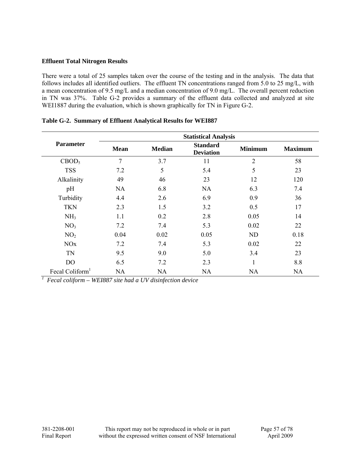There were a total of 25 samples taken over the course of the testing and in the analysis. The data that follows includes all identified outliers. The effluent TN concentrations ranged from 5.0 to 25 mg/L, with a mean concentration of 9.5 mg/L and a median concentration of 9.0 mg/L. The overall percent reduction in TN was 37%. Table G-2 provides a summary of the effluent data collected and analyzed at site WEI1887 during the evaluation, which is shown graphically for TN in Figure G-2.

|                             | <b>Statistical Analysis</b> |               |                                     |                |                |  |  |
|-----------------------------|-----------------------------|---------------|-------------------------------------|----------------|----------------|--|--|
| <b>Parameter</b>            | <b>Mean</b>                 | <b>Median</b> | <b>Standard</b><br><b>Deviation</b> | <b>Minimum</b> | <b>Maximum</b> |  |  |
| CBOD <sub>5</sub>           | 7                           | 3.7           | 11                                  | $\overline{2}$ | 58             |  |  |
| <b>TSS</b>                  | 7.2                         | 5             | 5.4                                 | 5              | 23             |  |  |
| Alkalinity                  | 49                          | 46            | 23                                  | 12             | 120            |  |  |
| pH                          | <b>NA</b>                   | 6.8           | <b>NA</b>                           | 6.3            | 7.4            |  |  |
| Turbidity                   | 4.4                         | 2.6           | 6.9                                 | 0.9            | 36             |  |  |
| <b>TKN</b>                  | 2.3                         | 1.5           | 3.2                                 | 0.5            | 17             |  |  |
| NH <sub>3</sub>             | 1.1                         | 0.2           | 2.8                                 | 0.05           | 14             |  |  |
| NO <sub>3</sub>             | 7.2                         | 7.4           | 5.3                                 | 0.02           | 22             |  |  |
| NO <sub>2</sub>             | 0.04                        | 0.02          | 0.05                                | ND             | 0.18           |  |  |
| <b>NO<sub>x</sub></b>       | 7.2                         | 7.4           | 5.3                                 | 0.02           | 22             |  |  |
| TN                          | 9.5                         | 9.0           | 5.0                                 | 3.4            | 23             |  |  |
| D <sub>O</sub>              | 6.5                         | 7.2           | 2.3                                 |                | 8.8            |  |  |
| Fecal Coliform <sup>1</sup> | <b>NA</b>                   | NA            | NA                                  | <b>NA</b>      | NA             |  |  |

## **Table G-2. Summary of Effluent Analytical Results for WEI887**

*1 Fecal coliform – WEI887 site had a UV disinfection device*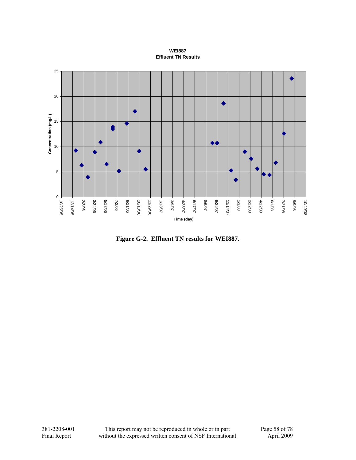### **WEI887 Effluent TN Results**



**Figure G-2. Effluent TN results for WEI887.**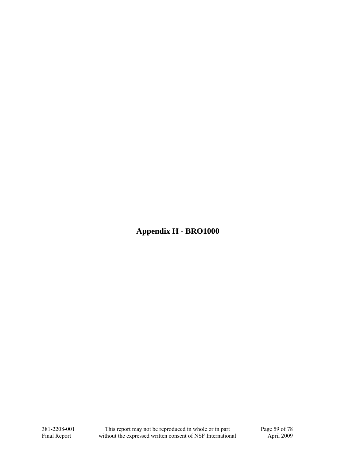**Appendix H - BRO1000**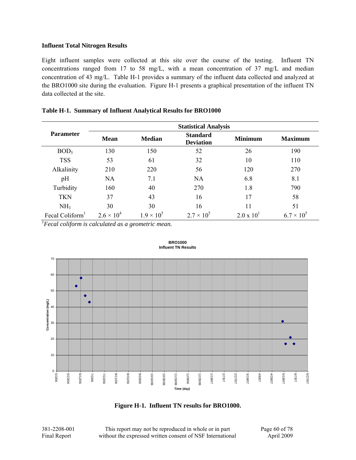Eight influent samples were collected at this site over the course of the testing. Influent TN concentrations ranged from 17 to 58 mg/L, with a mean concentration of 37 mg/L and median concentration of 43 mg/L. Table H-1 provides a summary of the influent data collected and analyzed at the BRO1000 site during the evaluation. Figure H-1 presents a graphical presentation of the influent TN data collected at the site.

|                             | <b>Statistical Analysis</b> |                     |                                     |                     |                     |  |  |  |
|-----------------------------|-----------------------------|---------------------|-------------------------------------|---------------------|---------------------|--|--|--|
| <b>Parameter</b>            | <b>Mean</b>                 | <b>Median</b>       | <b>Standard</b><br><b>Deviation</b> | <b>Minimum</b>      | <b>Maximum</b>      |  |  |  |
| BOD <sub>5</sub>            | 130                         | 150                 | 52                                  | 26                  | 190                 |  |  |  |
| <b>TSS</b>                  | 53                          | 61                  | 32                                  | 10                  | 110                 |  |  |  |
| Alkalinity                  | 210                         | 220                 | 56                                  | 120                 | 270                 |  |  |  |
| pH                          | <b>NA</b>                   | 7.1                 | <b>NA</b>                           | 6.8                 | 8.1                 |  |  |  |
| Turbidity                   | 160                         | 40                  | 270                                 | 1.8                 | 790                 |  |  |  |
| <b>TKN</b>                  | 37                          | 43                  | 16                                  | 17                  | 58                  |  |  |  |
| NH <sub>3</sub>             | 30                          | 30                  | 16                                  | 11                  | 51                  |  |  |  |
| Fecal Coliform <sup>1</sup> | $2.6 \times 10^{4}$         | $1.9 \times 10^{5}$ | $2.7 \times 10^{5}$                 | $2.0 \times 10^{1}$ | $6.7 \times 10^{5}$ |  |  |  |

## **Table H-1. Summary of Influent Analytical Results for BRO1000**

*1 Fecal coliform is calculated as a geometric mean.* 



#### **BRO1000 Influent TN Results**

**Figure H-1. Influent TN results for BRO1000.** 

381-2208-001 This report may not be reproduced in whole or in part Page 60 of 78<br>Final Report without the expressed written consent of NSF International April 2009 without the expressed written consent of NSF International April 2009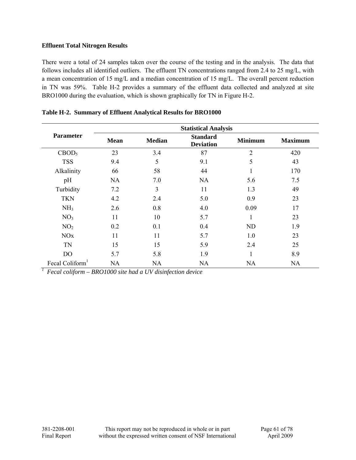There were a total of 24 samples taken over the course of the testing and in the analysis. The data that follows includes all identified outliers. The effluent TN concentrations ranged from 2.4 to 25 mg/L, with a mean concentration of 15 mg/L and a median concentration of 15 mg/L. The overall percent reduction in TN was 59%. Table H-2 provides a summary of the effluent data collected and analyzed at site BRO1000 during the evaluation, which is shown graphically for TN in Figure H-2.

|                             | <b>Statistical Analysis</b> |               |                                     |                |                |  |  |
|-----------------------------|-----------------------------|---------------|-------------------------------------|----------------|----------------|--|--|
| <b>Parameter</b>            | <b>Mean</b>                 | <b>Median</b> | <b>Standard</b><br><b>Deviation</b> | <b>Minimum</b> | <b>Maximum</b> |  |  |
| CBOD <sub>5</sub>           | 23                          | 3.4           | 87                                  | $\overline{2}$ | 420            |  |  |
| <b>TSS</b>                  | 9.4                         | 5             | 9.1                                 | 5              | 43             |  |  |
| Alkalinity                  | 66                          | 58            | 44                                  | 1              | 170            |  |  |
| pH                          | <b>NA</b>                   | 7.0           | <b>NA</b>                           | 5.6            | 7.5            |  |  |
| Turbidity                   | 7.2                         | 3             | 11                                  | 1.3            | 49             |  |  |
| <b>TKN</b>                  | 4.2                         | 2.4           | 5.0                                 | 0.9            | 23             |  |  |
| NH <sub>3</sub>             | 2.6                         | 0.8           | 4.0                                 | 0.09           | 17             |  |  |
| NO <sub>3</sub>             | 11                          | 10            | 5.7                                 | 1              | 23             |  |  |
| NO <sub>2</sub>             | 0.2                         | 0.1           | 0.4                                 | ND             | 1.9            |  |  |
| <b>NO<sub>x</sub></b>       | 11                          | 11            | 5.7                                 | 1.0            | 23             |  |  |
| <b>TN</b>                   | 15                          | 15            | 5.9                                 | 2.4            | 25             |  |  |
| D <sub>O</sub>              | 5.7                         | 5.8           | 1.9                                 | 1              | 8.9            |  |  |
| Fecal Coliform <sup>1</sup> | NA                          | NA            | <b>NA</b>                           | NA             | NA             |  |  |

**Table H-2. Summary of Effluent Analytical Results for BRO1000** 

*1 Fecal coliform – BRO1000 site had a UV disinfection device*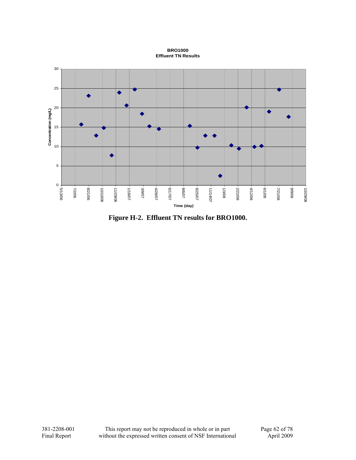**BRO1000 Effluent TN Results**



**Figure H-2. Effluent TN results for BRO1000.**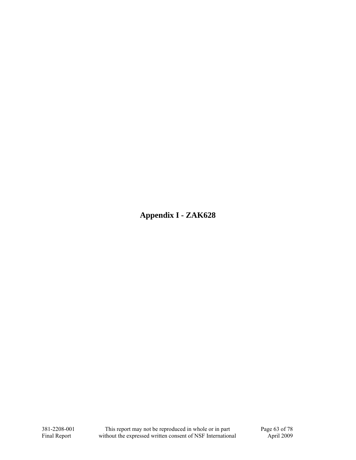**Appendix I - ZAK628**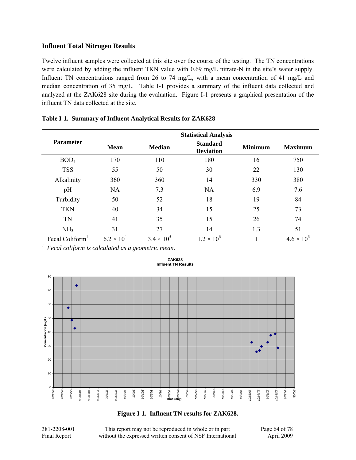Twelve influent samples were collected at this site over the course of the testing. The TN concentrations were calculated by adding the influent TKN value with 0.69 mg/L nitrate-N in the site's water supply. Influent TN concentrations ranged from 26 to 74 mg/L, with a mean concentration of 41 mg/L and median concentration of 35 mg/L. Table I-1 provides a summary of the influent data collected and analyzed at the ZAK628 site during the evaluation. Figure I-1 presents a graphical presentation of the influent TN data collected at the site.

|                             |                     |                     | <b>Statistical Analysis</b>         |                |                     |
|-----------------------------|---------------------|---------------------|-------------------------------------|----------------|---------------------|
| <b>Parameter</b>            | <b>Mean</b>         | <b>Median</b>       | <b>Standard</b><br><b>Deviation</b> | <b>Minimum</b> | <b>Maximum</b>      |
| BOD <sub>5</sub>            | 170                 | 110                 | 180                                 | 16             | 750                 |
| <b>TSS</b>                  | 55                  | 50                  | 30                                  | 22             | 130                 |
| Alkalinity                  | 360                 | 360                 | 14                                  | 330            | 380                 |
| pH                          | <b>NA</b>           | 7.3                 | <b>NA</b>                           | 6.9            | 7.6                 |
| Turbidity                   | 50                  | 52                  | 18                                  | 19             | 84                  |
| <b>TKN</b>                  | 40                  | 34                  | 15                                  | 25             | 73                  |
| <b>TN</b>                   | 41                  | 35                  | 15                                  | 26             | 74                  |
| NH <sub>3</sub>             | 31                  | 27                  | 14                                  | 1.3            | 51                  |
| Fecal Coliform <sup>1</sup> | $6.2 \times 10^{4}$ | $3.4 \times 10^{5}$ | $1.2 \times 10^{6}$                 |                | $4.6 \times 10^{6}$ |

|  | Table I-1. Summary of Influent Analytical Results for ZAK628 |  |  |  |  |
|--|--------------------------------------------------------------|--|--|--|--|
|--|--------------------------------------------------------------|--|--|--|--|

*1 Fecal coliform is calculated as a geometric mean.* 



#### **ZAK628 Influent TN Results**

**Figure I-1. Influent TN results for ZAK628.** 

381-2208-001 This report may not be reproduced in whole or in part Page 64 of 78 Final Report without the expressed written consent of NSF International April 2009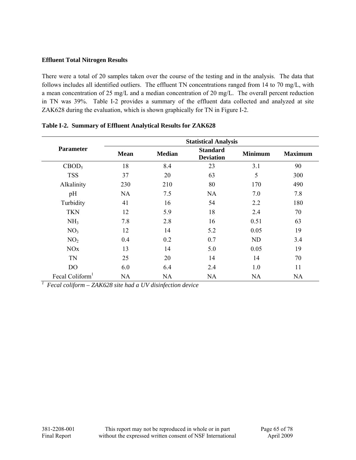There were a total of 20 samples taken over the course of the testing and in the analysis. The data that follows includes all identified outliers. The effluent TN concentrations ranged from 14 to 70 mg/L, with a mean concentration of 25 mg/L and a median concentration of 20 mg/L. The overall percent reduction in TN was 39%. Table I-2 provides a summary of the effluent data collected and analyzed at site ZAK628 during the evaluation, which is shown graphically for TN in Figure I-2.

|                             | <b>Statistical Analysis</b> |               |                                     |                |                |  |  |
|-----------------------------|-----------------------------|---------------|-------------------------------------|----------------|----------------|--|--|
| <b>Parameter</b>            | <b>Mean</b>                 | <b>Median</b> | <b>Standard</b><br><b>Deviation</b> | <b>Minimum</b> | <b>Maximum</b> |  |  |
| CBOD <sub>5</sub>           | 18                          | 8.4           | 23                                  | 3.1            | 90             |  |  |
| <b>TSS</b>                  | 37                          | 20            | 63                                  | 5              | 300            |  |  |
| Alkalinity                  | 230                         | 210           | 80                                  | 170            | 490            |  |  |
| pH                          | NA                          | 7.5           | NA.                                 | 7.0            | 7.8            |  |  |
| Turbidity                   | 41                          | 16            | 54                                  | 2.2            | 180            |  |  |
| <b>TKN</b>                  | 12                          | 5.9           | 18                                  | 2.4            | 70             |  |  |
| NH <sub>3</sub>             | 7.8                         | 2.8           | 16                                  | 0.51           | 63             |  |  |
| NO <sub>3</sub>             | 12                          | 14            | 5.2                                 | 0.05           | 19             |  |  |
| NO <sub>2</sub>             | 0.4                         | 0.2           | 0.7                                 | ND             | 3.4            |  |  |
| <b>NO<sub>x</sub></b>       | 13                          | 14            | 5.0                                 | 0.05           | 19             |  |  |
| TN                          | 25                          | 20            | 14                                  | 14             | 70             |  |  |
| D <sub>O</sub>              | 6.0                         | 6.4           | 2.4                                 | 1.0            | 11             |  |  |
| Fecal Coliform <sup>1</sup> | <b>NA</b>                   | <b>NA</b>     | NA                                  | NA             | NA             |  |  |

|  |  | Table I-2. Summary of Effluent Analytical Results for ZAK628 |  |  |
|--|--|--------------------------------------------------------------|--|--|
|--|--|--------------------------------------------------------------|--|--|

*1 Fecal coliform – ZAK628 site had a UV disinfection device*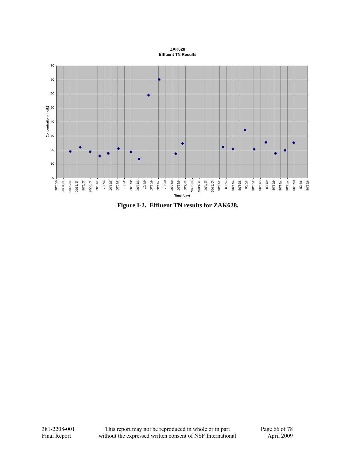#### **ZAK628 Effluent TN Results**



**Figure I-2. Effluent TN results for ZAK628.**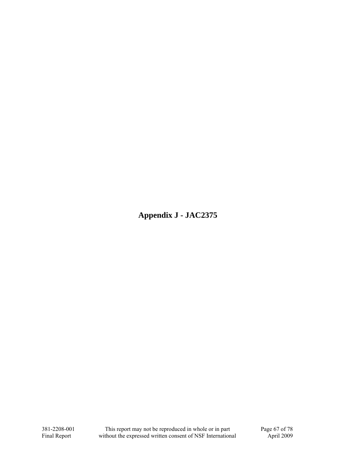**Appendix J - JAC2375**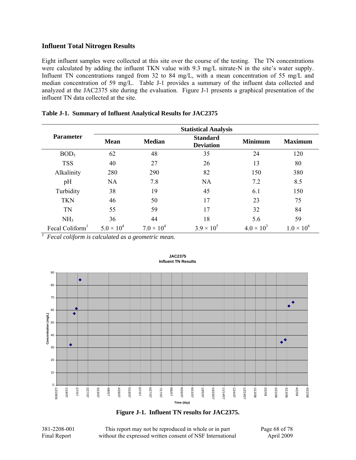Eight influent samples were collected at this site over the course of the testing. The TN concentrations were calculated by adding the influent TKN value with 9.3 mg/L nitrate-N in the site's water supply. Influent TN concentrations ranged from 32 to 84 mg/L, with a mean concentration of 55 mg/L and median concentration of 59 mg/L. Table J-1 provides a summary of the influent data collected and analyzed at the JAC2375 site during the evaluation. Figure J-1 presents a graphical presentation of the influent TN data collected at the site.

|                  | <b>Statistical Analysis</b> |                     |                                     |                     |                     |  |  |  |
|------------------|-----------------------------|---------------------|-------------------------------------|---------------------|---------------------|--|--|--|
| <b>Parameter</b> | <b>Mean</b>                 | <b>Median</b>       | <b>Standard</b><br><b>Deviation</b> | <b>Minimum</b>      | <b>Maximum</b>      |  |  |  |
| BOD <sub>5</sub> | 62                          | 48                  | 35                                  | 24                  | 120                 |  |  |  |
| <b>TSS</b>       | 40                          | 27                  | 26                                  | 13                  | 80                  |  |  |  |
| Alkalinity       | 280                         | 290                 | 82                                  | 150                 | 380                 |  |  |  |
| pH               | <b>NA</b>                   | 7.8                 | <b>NA</b>                           | 7.2                 | 8.5                 |  |  |  |
| Turbidity        | 38                          | 19                  | 45                                  | 6.1                 | 150                 |  |  |  |
| <b>TKN</b>       | 46                          | 50                  | 17                                  | 23                  | 75                  |  |  |  |
| TN               | 55                          | 59                  | 17                                  | 32                  | 84                  |  |  |  |
| NH <sub>3</sub>  | 36                          | 44                  | 18                                  | 5.6                 | 59                  |  |  |  |
| Fecal Coliform   | $5.0 \times 10^{4}$         | $7.0 \times 10^{4}$ | $3.9 \times 10^{5}$                 | $4.0 \times 10^{3}$ | $1.0 \times 10^{6}$ |  |  |  |

|  |  |  |  |  | Table J-1. Summary of Influent Analytical Results for JAC2375 |
|--|--|--|--|--|---------------------------------------------------------------|
|--|--|--|--|--|---------------------------------------------------------------|

*1 Fecal coliform is calculated as a geometric mean.* 



#### **JAC2375 Influent TN Results**

**Figure J-1. Influent TN results for JAC2375.** 

381-2208-001 This report may not be reproduced in whole or in part Page 68 of 78 Final Report without the expressed written consent of NSF International April 2009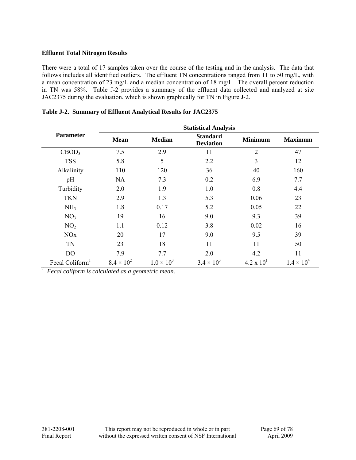There were a total of 17 samples taken over the course of the testing and in the analysis. The data that follows includes all identified outliers. The effluent TN concentrations ranged from 11 to 50 mg/L, with a mean concentration of 23 mg/L and a median concentration of 18 mg/L. The overall percent reduction in TN was 58%. Table J-2 provides a summary of the effluent data collected and analyzed at site JAC2375 during the evaluation, which is shown graphically for TN in Figure J-2.

|                             | <b>Statistical Analysis</b> |                     |                                     |                     |                     |  |
|-----------------------------|-----------------------------|---------------------|-------------------------------------|---------------------|---------------------|--|
| <b>Parameter</b>            | <b>Mean</b>                 | <b>Median</b>       | <b>Standard</b><br><b>Deviation</b> | <b>Minimum</b>      | <b>Maximum</b>      |  |
| CBOD <sub>5</sub>           | 7.5                         | 2.9                 | 11                                  | $\overline{2}$      | 47                  |  |
| <b>TSS</b>                  | 5.8                         | 5                   | 2.2                                 | 3                   | 12                  |  |
| Alkalinity                  | 110                         | 120                 | 36                                  | 40                  | 160                 |  |
| pH                          | <b>NA</b>                   | 7.3                 | 0.2                                 | 6.9                 | 7.7                 |  |
| Turbidity                   | 2.0                         | 1.9                 | 1.0                                 | 0.8                 | 4.4                 |  |
| <b>TKN</b>                  | 2.9                         | 1.3                 | 5.3                                 | 0.06                | 23                  |  |
| NH <sub>3</sub>             | 1.8                         | 0.17                | 5.2                                 | 0.05                | 22                  |  |
| NO <sub>3</sub>             | 19                          | 16                  | 9.0                                 | 9.3                 | 39                  |  |
| NO <sub>2</sub>             | 1.1                         | 0.12                | 3.8                                 | 0.02                | 16                  |  |
| <b>NO<sub>x</sub></b>       | 20                          | 17                  | 9.0                                 | 9.5                 | 39                  |  |
| <b>TN</b>                   | 23                          | 18                  | 11                                  | 11                  | 50                  |  |
| D <sub>O</sub>              | 7.9                         | 7.7                 | 2.0                                 | 4.2                 | 11                  |  |
| Fecal Coliform <sup>1</sup> | $8.4 \times 10^{2}$         | $1.0 \times 10^{3}$ | $3.4 \times 10^{3}$                 | $4.2 \times 10^{1}$ | $1.4 \times 10^{4}$ |  |

|  |  | Table J-2. Summary of Effluent Analytical Results for JAC2375 |
|--|--|---------------------------------------------------------------|
|  |  |                                                               |

*1 Fecal coliform is calculated as a geometric mean.*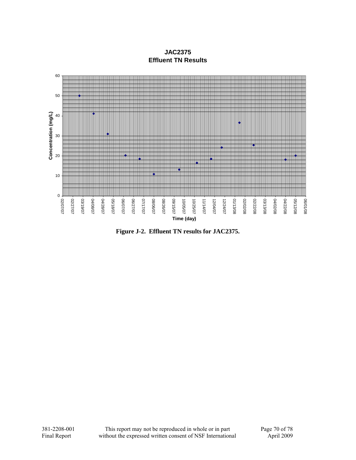**JAC2375 Effluent TN Results**



**Figure J-2. Effluent TN results for JAC2375.**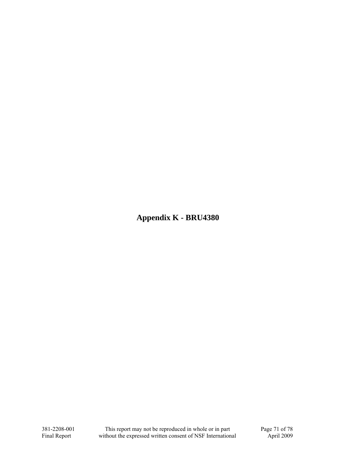**Appendix K - BRU4380**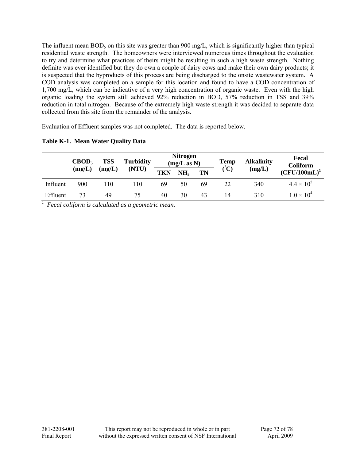The influent mean  $BOD_5$  on this site was greater than 900 mg/L, which is significantly higher than typical residential waste strength. The homeowners were interviewed numerous times throughout the evaluation to try and determine what practices of theirs might be resulting in such a high waste strength. Nothing definite was ever identified but they do own a couple of dairy cows and make their own dairy products; it is suspected that the byproducts of this process are being discharged to the onsite wastewater system. A COD analysis was completed on a sample for this location and found to have a COD concentration of 1,700 mg/L, which can be indicative of a very high concentration of organic waste. Even with the high organic loading the system still achieved 92% reduction in BOD, 57% reduction in TSS and 39% reduction in total nitrogen. Because of the extremely high waste strength it was decided to separate data collected from this site from the remainder of the analysis.

Evaluation of Effluent samples was not completed. The data is reported below.

|          | $\text{CBOD}_5$<br>(mg/L) | <b>TSS</b> | <b>Turbidity</b><br>(NTU) | <b>Nitrogen</b><br>(mg/L as N) |                 |           | <b>Temp</b>                 | <b>Alkalinity</b> | Fecal<br><b>Coliform</b> |  |
|----------|---------------------------|------------|---------------------------|--------------------------------|-----------------|-----------|-----------------------------|-------------------|--------------------------|--|
|          |                           | (mg/L)     |                           | <b>TKN</b>                     | NH <sub>3</sub> | <b>TN</b> | $\left( \mathbf{C} \right)$ | (mg/L)            | $(CFU/100mL)^1$          |  |
| Influent | 900                       | 110        | l 10                      | 69                             | 50              | 69        | 22                          | 340               | $4.4 \times 10^{5}$      |  |
| Effluent | 73                        | 49         | 75                        | 40                             | 30              | 43        | 14                          | 310               | $1.0 \times 10^{4}$      |  |

## **Table K-1. Mean Water Quality Data**

*1 Fecal coliform is calculated as a geometric mean.*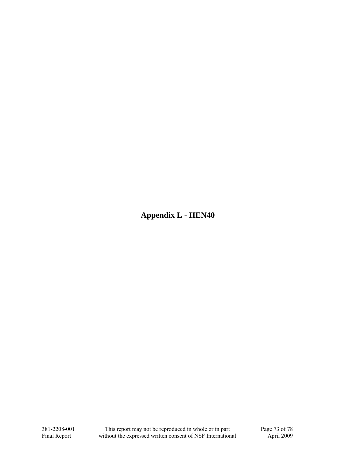**Appendix L - HEN40**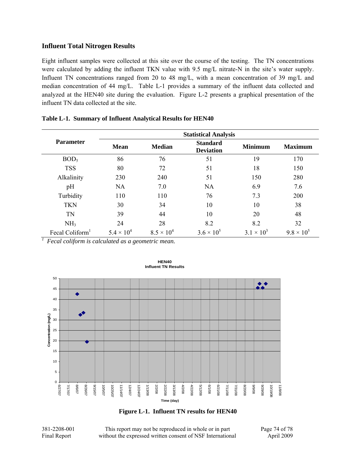## **Influent Total Nitrogen Results**

Eight influent samples were collected at this site over the course of the testing. The TN concentrations were calculated by adding the influent TKN value with 9.5 mg/L nitrate-N in the site's water supply. Influent TN concentrations ranged from 20 to 48 mg/L, with a mean concentration of 39 mg/L and median concentration of 44 mg/L. Table L-1 provides a summary of the influent data collected and analyzed at the HEN40 site during the evaluation. Figure L-2 presents a graphical presentation of the influent TN data collected at the site.

|                             | <b>Statistical Analysis</b> |                     |                                     |                     |                     |  |  |  |  |
|-----------------------------|-----------------------------|---------------------|-------------------------------------|---------------------|---------------------|--|--|--|--|
| <b>Parameter</b>            | <b>Mean</b>                 | <b>Median</b>       | <b>Standard</b><br><b>Deviation</b> | <b>Minimum</b>      | <b>Maximum</b>      |  |  |  |  |
| BOD <sub>5</sub>            | 86                          | 76                  | 51                                  | 19                  | 170                 |  |  |  |  |
| <b>TSS</b>                  | 80                          | 72                  | 51                                  | 18                  | 150                 |  |  |  |  |
| Alkalinity                  | 230                         | 240                 | 51                                  | 150                 | 280                 |  |  |  |  |
| pH                          | <b>NA</b>                   | 7.0                 | <b>NA</b>                           | 6.9                 | 7.6                 |  |  |  |  |
| Turbidity                   | 110                         | 110                 | 76                                  | 7.3                 | 200                 |  |  |  |  |
| <b>TKN</b>                  | 30                          | 34                  | 10                                  | 10                  | 38                  |  |  |  |  |
| TN                          | 39                          | 44                  | 10                                  | 20                  | 48                  |  |  |  |  |
| NH <sub>3</sub>             | 24                          | 28                  | 8.2                                 | 8.2                 | 32                  |  |  |  |  |
| Fecal Coliform <sup>1</sup> | $5.4 \times 10^{4}$         | $8.5 \times 10^{4}$ | $3.6 \times 10^{5}$                 | $3.1 \times 10^{3}$ | $9.8 \times 10^{5}$ |  |  |  |  |

| Table L-1. Summary of Influent Analytical Results for HEN40 |  |  |  |
|-------------------------------------------------------------|--|--|--|
|                                                             |  |  |  |

*1 Fecal coliform is calculated as a geometric mean.* 



**HEN40 Influent TN Results**

**Figure L-1. Influent TN results for HEN40** 

381-2208-001 This report may not be reproduced in whole or in part Page 74 of 78 Final Report without the expressed written consent of NSF International April 2009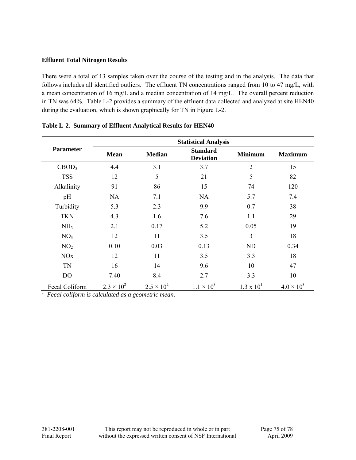## **Effluent Total Nitrogen Results**

There were a total of 13 samples taken over the course of the testing and in the analysis. The data that follows includes all identified outliers. The effluent TN concentrations ranged from 10 to 47 mg/L, with a mean concentration of 16 mg/L and a median concentration of 14 mg/L. The overall percent reduction in TN was 64%. Table L-2 provides a summary of the effluent data collected and analyzed at site HEN40 during the evaluation, which is shown graphically for TN in Figure L-2.

|                       | <b>Statistical Analysis</b> |                     |                                     |                     |                     |  |  |  |  |
|-----------------------|-----------------------------|---------------------|-------------------------------------|---------------------|---------------------|--|--|--|--|
| <b>Parameter</b>      | <b>Mean</b>                 | <b>Median</b>       | <b>Standard</b><br><b>Deviation</b> | <b>Minimum</b>      | <b>Maximum</b>      |  |  |  |  |
| CBOD <sub>5</sub>     | 4.4                         | 3.1                 | 3.7                                 | $\overline{2}$      | 15                  |  |  |  |  |
| <b>TSS</b>            | 12                          | 5                   | 21                                  | 5                   | 82                  |  |  |  |  |
| Alkalinity            | 91                          | 86                  | 15                                  | 74                  | 120                 |  |  |  |  |
| pH                    | <b>NA</b>                   | 7.1                 | <b>NA</b>                           | 5.7                 | 7.4                 |  |  |  |  |
| Turbidity             | 5.3                         | 2.3                 | 9.9                                 | 0.7                 | 38                  |  |  |  |  |
| <b>TKN</b>            | 4.3                         | 1.6                 | 7.6                                 | 1.1                 | 29                  |  |  |  |  |
| NH <sub>3</sub>       | 2.1                         | 0.17                | 5.2                                 | 0.05                | 19                  |  |  |  |  |
| NO <sub>3</sub>       | 12                          | 11                  | 3.5                                 | 3                   | 18                  |  |  |  |  |
| NO <sub>2</sub>       | 0.10                        | 0.03                | 0.13                                | <b>ND</b>           | 0.34                |  |  |  |  |
| <b>NO<sub>x</sub></b> | 12                          | 11                  | 3.5                                 | 3.3                 | 18                  |  |  |  |  |
| <b>TN</b>             | 16                          | 14                  | 9.6                                 | 10                  | 47                  |  |  |  |  |
| D <sub>O</sub>        | 7.40                        | 8.4                 | 2.7                                 | 3.3                 | 10                  |  |  |  |  |
| Fecal Coliform        | $2.3 \times 10^{2}$         | $2.5 \times 10^{2}$ | $1.1 \times 10^{3}$                 | $1.3 \times 10^{1}$ | $4.0 \times 10^{3}$ |  |  |  |  |

**Table L-2. Summary of Effluent Analytical Results for HEN40** 

*1 Fecal coliform is calculated as a geometric mean.*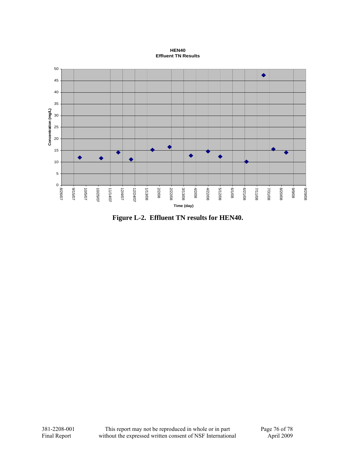**HEN40 Effluent TN Results**



**Figure L-2. Effluent TN results for HEN40.**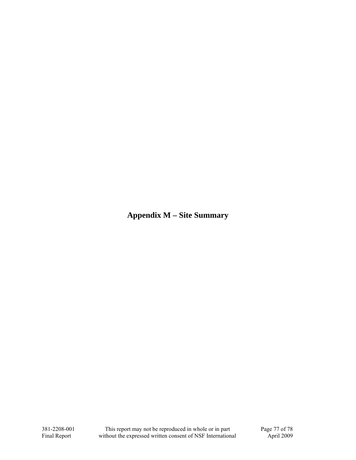**Appendix M – Site Summary**